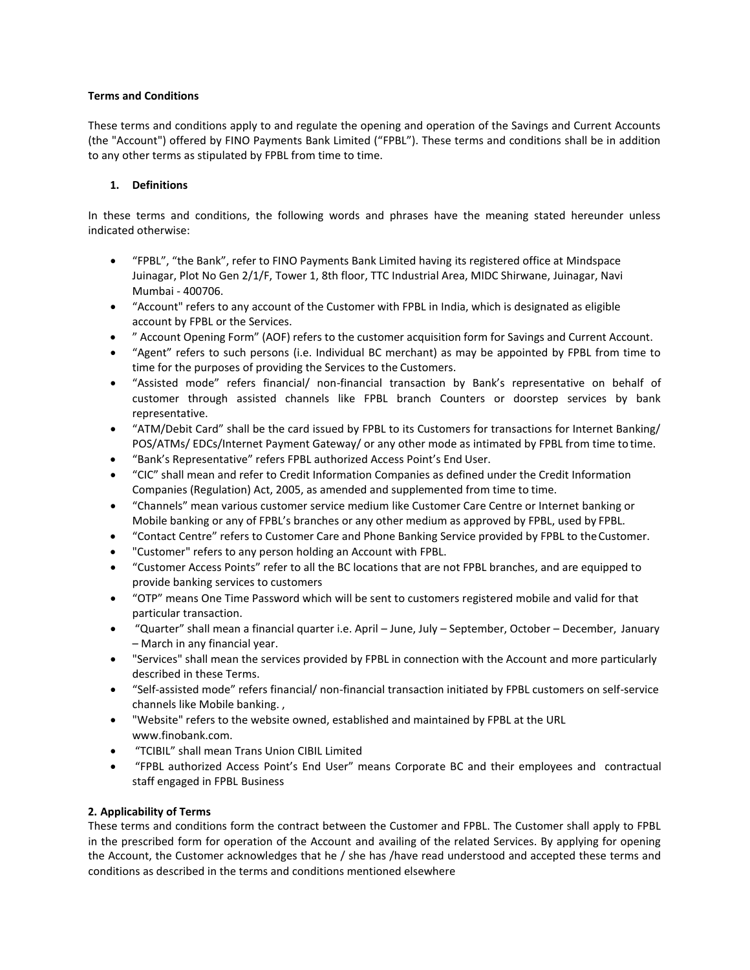### **Terms and Conditions**

These terms and conditions apply to and regulate the opening and operation of the Savings and Current Accounts (the "Account") offered by FINO Payments Bank Limited ("FPBL"). These terms and conditions shall be in addition to any other terms as stipulated by FPBL from time to time.

## **1. Definitions**

In these terms and conditions, the following words and phrases have the meaning stated hereunder unless indicated otherwise:

- "FPBL", "the Bank", refer to FINO Payments Bank Limited having its registered office at Mindspace Juinagar, Plot No Gen 2/1/F, Tower 1, 8th floor, TTC Industrial Area, MIDC Shirwane, Juinagar, Navi Mumbai - 400706.
- "Account" refers to any account of the Customer with FPBL in India, which is designated as eligible account by FPBL or the Services.
- " Account Opening Form" (AOF) refers to the customer acquisition form for Savings and Current Account.
- "Agent" refers to such persons (i.e. Individual BC merchant) as may be appointed by FPBL from time to time for the purposes of providing the Services to the Customers.
- "Assisted mode" refers financial/ non-financial transaction by Bank's representative on behalf of customer through assisted channels like FPBL branch Counters or doorstep services by bank representative.
- "ATM/Debit Card" shall be the card issued by FPBL to its Customers for transactions for Internet Banking/ POS/ATMs/ EDCs/Internet Payment Gateway/ or any other mode as intimated by FPBL from time totime.
- "Bank's Representative" refers FPBL authorized Access Point's End User.
- "CIC" shall mean and refer to Credit Information Companies as defined under the Credit Information Companies (Regulation) Act, 2005, as amended and supplemented from time to time.
- "Channels" mean various customer service medium like Customer Care Centre or Internet banking or Mobile banking or any of FPBL's branches or any other medium as approved by FPBL, used by FPBL.
- "Contact Centre" refers to Customer Care and Phone Banking Service provided by FPBL to theCustomer.
- "Customer" refers to any person holding an Account with FPBL.
- "Customer Access Points" refer to all the BC locations that are not FPBL branches, and are equipped to provide banking services to customers
- "OTP" means One Time Password which will be sent to customers registered mobile and valid for that particular transaction.
- "Quarter" shall mean a financial quarter i.e. April June, July September, October December, January – March in any financial year.
- "Services" shall mean the services provided by FPBL in connection with the Account and more particularly described in these Terms.
- "Self-assisted mode" refers financial/ non-financial transaction initiated by FPBL customers on self-service channels like Mobile banking. ,
- "Website" refers to the website owned, established and maintained by FPBL at the UR[L](http://www.finobank.com/) [www.finobank.com.](http://www.finobank.com/)
- "TCIBIL" shall mean Trans Union CIBIL Limited
- "FPBL authorized Access Point's End User" means Corporate BC and their employees and contractual staff engaged in FPBL Business

## **2. Applicability of Terms**

These terms and conditions form the contract between the Customer and FPBL. The Customer shall apply to FPBL in the prescribed form for operation of the Account and availing of the related Services. By applying for opening the Account, the Customer acknowledges that he / she has /have read understood and accepted these terms and conditions as described in the terms and conditions mentioned elsewhere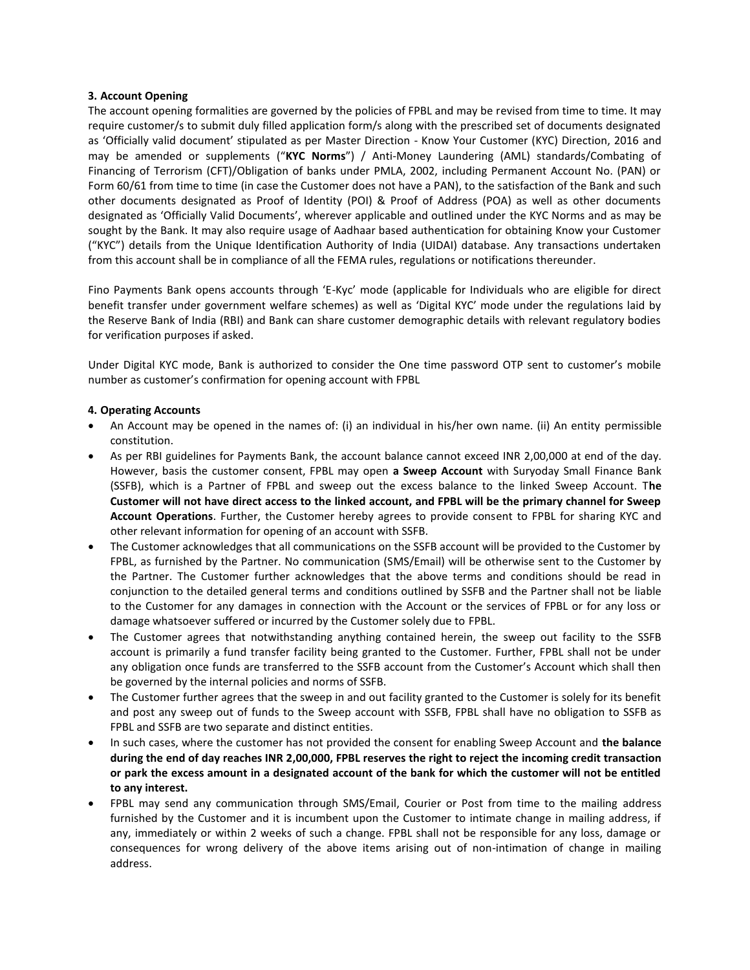### **3. Account Opening**

The account opening formalities are governed by the policies of FPBL and may be revised from time to time. It may require customer/s to submit duly filled application form/s along with the prescribed set of documents designated as 'Officially valid document' stipulated as per Master Direction - Know Your Customer (KYC) Direction, 2016 and may be amended or supplements ("**KYC Norms**") / Anti-Money Laundering (AML) standards/Combating of Financing of Terrorism (CFT)/Obligation of banks under PMLA, 2002, including Permanent Account No. (PAN) or Form 60/61 from time to time (in case the Customer does not have a PAN), to the satisfaction of the Bank and such other documents designated as Proof of Identity (POI) & Proof of Address (POA) as well as other documents designated as 'Officially Valid Documents', wherever applicable and outlined under the KYC Norms and as may be sought by the Bank. It may also require usage of Aadhaar based authentication for obtaining Know your Customer ("KYC") details from the Unique Identification Authority of India (UIDAI) database. Any transactions undertaken from this account shall be in compliance of all the FEMA rules, regulations or notifications thereunder.

Fino Payments Bank opens accounts through 'E-Kyc' mode (applicable for Individuals who are eligible for direct benefit transfer under government welfare schemes) as well as 'Digital KYC' mode under the regulations laid by the Reserve Bank of India (RBI) and Bank can share customer demographic details with relevant regulatory bodies for verification purposes if asked.

Under Digital KYC mode, Bank is authorized to consider the One time password OTP sent to customer's mobile number as customer's confirmation for opening account with FPBL

### **4. Operating Accounts**

- An Account may be opened in the names of: (i) an individual in his/her own name. (ii) An entity permissible constitution.
- As per RBI guidelines for Payments Bank, the account balance cannot exceed INR 2,00,000 at end of the day. However, basis the customer consent, FPBL may open **a Sweep Account** with Suryoday Small Finance Bank (SSFB), which is a Partner of FPBL and sweep out the excess balance to the linked Sweep Account. T**he Customer will not have direct access to the linked account, and FPBL will be the primary channel for Sweep Account Operations**. Further, the Customer hereby agrees to provide consent to FPBL for sharing KYC and other relevant information for opening of an account with SSFB.
- The Customer acknowledges that all communications on the SSFB account will be provided to the Customer by FPBL, as furnished by the Partner. No communication (SMS/Email) will be otherwise sent to the Customer by the Partner. The Customer further acknowledges that the above terms and conditions should be read in conjunction to the detailed general terms and conditions outlined by SSFB and the Partner shall not be liable to the Customer for any damages in connection with the Account or the services of FPBL or for any loss or damage whatsoever suffered or incurred by the Customer solely due to FPBL.
- The Customer agrees that notwithstanding anything contained herein, the sweep out facility to the SSFB account is primarily a fund transfer facility being granted to the Customer. Further, FPBL shall not be under any obligation once funds are transferred to the SSFB account from the Customer's Account which shall then be governed by the internal policies and norms of SSFB.
- The Customer further agrees that the sweep in and out facility granted to the Customer is solely for its benefit and post any sweep out of funds to the Sweep account with SSFB, FPBL shall have no obligation to SSFB as FPBL and SSFB are two separate and distinct entities.
- In such cases, where the customer has not provided the consent for enabling Sweep Account and **the balance during the end of day reaches INR 2,00,000, FPBL reserves the right to reject the incoming credit transaction or park the excess amount in a designated account of the bank for which the customer will not be entitled to any interest.**
- FPBL may send any communication through SMS/Email, Courier or Post from time to the mailing address furnished by the Customer and it is incumbent upon the Customer to intimate change in mailing address, if any, immediately or within 2 weeks of such a change. FPBL shall not be responsible for any loss, damage or consequences for wrong delivery of the above items arising out of non-intimation of change in mailing address.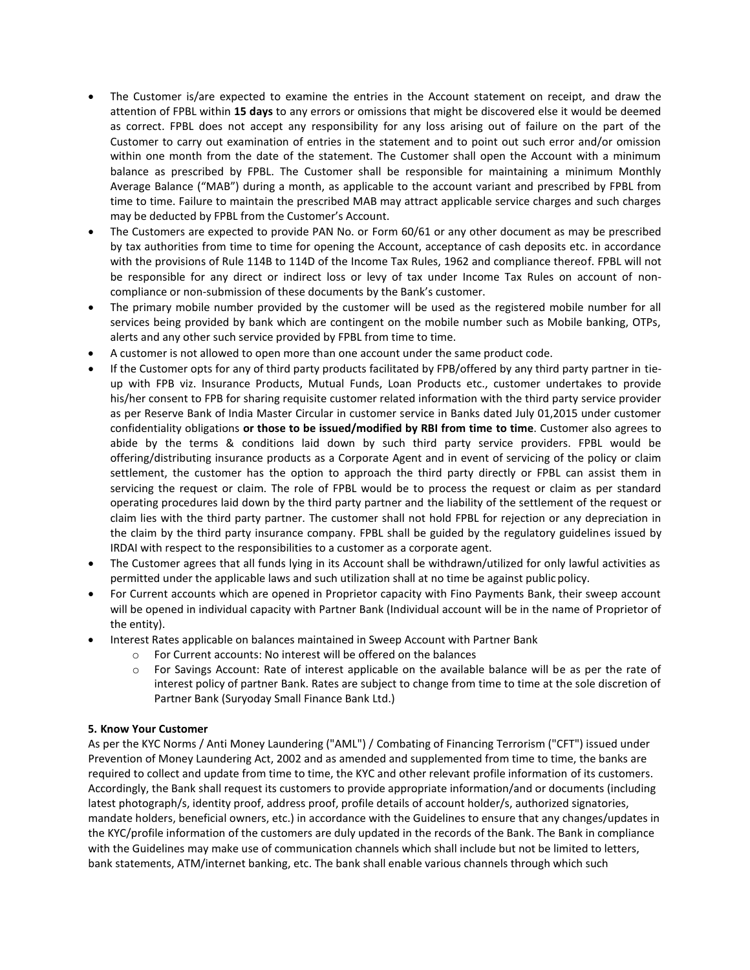- The Customer is/are expected to examine the entries in the Account statement on receipt, and draw the attention of FPBL within **15 days** to any errors or omissions that might be discovered else it would be deemed as correct. FPBL does not accept any responsibility for any loss arising out of failure on the part of the Customer to carry out examination of entries in the statement and to point out such error and/or omission within one month from the date of the statement. The Customer shall open the Account with a minimum balance as prescribed by FPBL. The Customer shall be responsible for maintaining a minimum Monthly Average Balance ("MAB") during a month, as applicable to the account variant and prescribed by FPBL from time to time. Failure to maintain the prescribed MAB may attract applicable service charges and such charges may be deducted by FPBL from the Customer's Account.
- The Customers are expected to provide PAN No. or Form 60/61 or any other document as may be prescribed by tax authorities from time to time for opening the Account, acceptance of cash deposits etc. in accordance with the provisions of Rule 114B to 114D of the Income Tax Rules, 1962 and compliance thereof. FPBL will not be responsible for any direct or indirect loss or levy of tax under Income Tax Rules on account of noncompliance or non-submission of these documents by the Bank's customer.
- The primary mobile number provided by the customer will be used as the registered mobile number for all services being provided by bank which are contingent on the mobile number such as Mobile banking, OTPs, alerts and any other such service provided by FPBL from time to time.
- A customer is not allowed to open more than one account under the same product code.
- If the Customer opts for any of third party products facilitated by FPB/offered by any third party partner in tieup with FPB viz. Insurance Products, Mutual Funds, Loan Products etc., customer undertakes to provide his/her consent to FPB for sharing requisite customer related information with the third party service provider as per Reserve Bank of India Master Circular in customer service in Banks dated July 01,2015 under customer confidentiality obligations **or those to be issued/modified by RBI from time to time**. Customer also agrees to abide by the terms & conditions laid down by such third party service providers. FPBL would be offering/distributing insurance products as a Corporate Agent and in event of servicing of the policy or claim settlement, the customer has the option to approach the third party directly or FPBL can assist them in servicing the request or claim. The role of FPBL would be to process the request or claim as per standard operating procedures laid down by the third party partner and the liability of the settlement of the request or claim lies with the third party partner. The customer shall not hold FPBL for rejection or any depreciation in the claim by the third party insurance company. FPBL shall be guided by the regulatory guidelines issued by IRDAI with respect to the responsibilities to a customer as a corporate agent.
- The Customer agrees that all funds lying in its Account shall be withdrawn/utilized for only lawful activities as permitted under the applicable laws and such utilization shall at no time be against public policy.
- For Current accounts which are opened in Proprietor capacity with Fino Payments Bank, their sweep account will be opened in individual capacity with Partner Bank (Individual account will be in the name of Proprietor of the entity).
- Interest Rates applicable on balances maintained in Sweep Account with Partner Bank
	- o For Current accounts: No interest will be offered on the balances
	- o For Savings Account: Rate of interest applicable on the available balance will be as per the rate of interest policy of partner Bank. Rates are subject to change from time to time at the sole discretion of Partner Bank (Suryoday Small Finance Bank Ltd.)

## **5. Know Your Customer**

As per the KYC Norms / Anti Money Laundering ("AML") / Combating of Financing Terrorism ("CFT") issued under Prevention of Money Laundering Act, 2002 and as amended and supplemented from time to time, the banks are required to collect and update from time to time, the KYC and other relevant profile information of its customers. Accordingly, the Bank shall request its customers to provide appropriate information/and or documents (including latest photograph/s, identity proof, address proof, profile details of account holder/s, authorized signatories, mandate holders, beneficial owners, etc.) in accordance with the Guidelines to ensure that any changes/updates in the KYC/profile information of the customers are duly updated in the records of the Bank. The Bank in compliance with the Guidelines may make use of communication channels which shall include but not be limited to letters, bank statements, ATM/internet banking, etc. The bank shall enable various channels through which such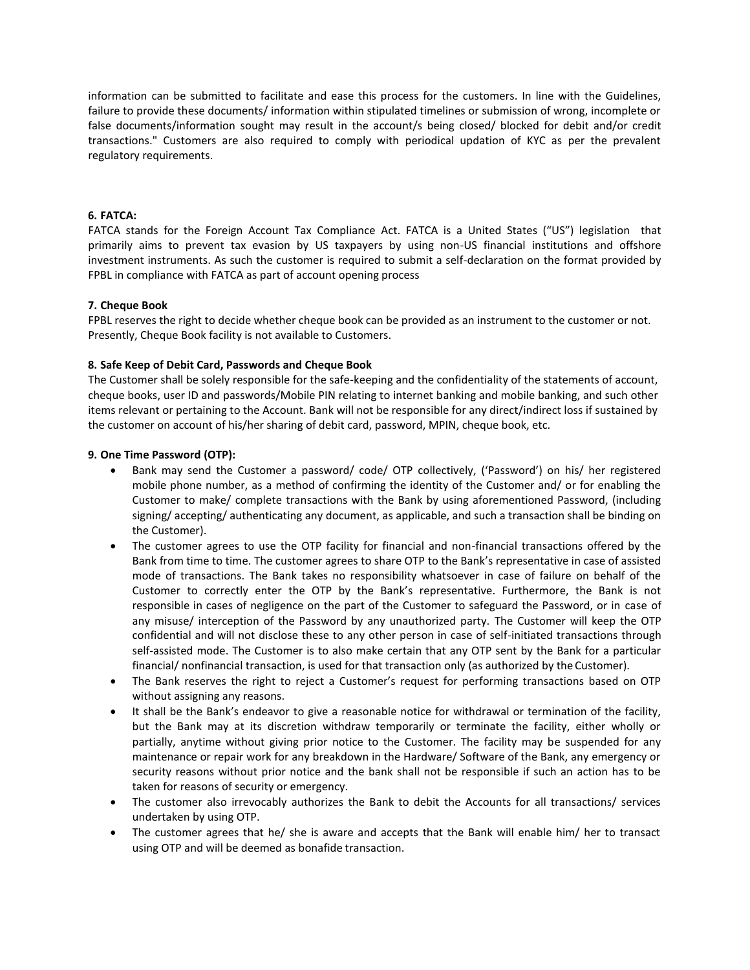information can be submitted to facilitate and ease this process for the customers. In line with the Guidelines, failure to provide these documents/ information within stipulated timelines or submission of wrong, incomplete or false documents/information sought may result in the account/s being closed/ blocked for debit and/or credit transactions." Customers are also required to comply with periodical updation of KYC as per the prevalent regulatory requirements.

## **6. FATCA:**

FATCA stands for the Foreign Account Tax Compliance Act. FATCA is a United States ("US") legislation that primarily aims to prevent tax evasion by US taxpayers by using non-US financial institutions and offshore investment instruments. As such the customer is required to submit a self-declaration on the format provided by FPBL in compliance with FATCA as part of account opening process

## **7. Cheque Book**

FPBL reserves the right to decide whether cheque book can be provided as an instrument to the customer or not. Presently, Cheque Book facility is not available to Customers.

### **8. Safe Keep of Debit Card, Passwords and Cheque Book**

The Customer shall be solely responsible for the safe-keeping and the confidentiality of the statements of account, cheque books, user ID and passwords/Mobile PIN relating to internet banking and mobile banking, and such other items relevant or pertaining to the Account. Bank will not be responsible for any direct/indirect loss if sustained by the customer on account of his/her sharing of debit card, password, MPIN, cheque book, etc.

### **9. One Time Password (OTP):**

- Bank may send the Customer a password/ code/ OTP collectively, ('Password') on his/ her registered mobile phone number, as a method of confirming the identity of the Customer and/ or for enabling the Customer to make/ complete transactions with the Bank by using aforementioned Password, (including signing/ accepting/ authenticating any document, as applicable, and such a transaction shall be binding on the Customer).
- The customer agrees to use the OTP facility for financial and non-financial transactions offered by the Bank from time to time. The customer agrees to share OTP to the Bank's representative in case of assisted mode of transactions. The Bank takes no responsibility whatsoever in case of failure on behalf of the Customer to correctly enter the OTP by the Bank's representative. Furthermore, the Bank is not responsible in cases of negligence on the part of the Customer to safeguard the Password, or in case of any misuse/ interception of the Password by any unauthorized party. The Customer will keep the OTP confidential and will not disclose these to any other person in case of self-initiated transactions through self-assisted mode. The Customer is to also make certain that any OTP sent by the Bank for a particular financial/ nonfinancial transaction, is used for that transaction only (as authorized by the Customer).
- The Bank reserves the right to reject a Customer's request for performing transactions based on OTP without assigning any reasons.
- It shall be the Bank's endeavor to give a reasonable notice for withdrawal or termination of the facility, but the Bank may at its discretion withdraw temporarily or terminate the facility, either wholly or partially, anytime without giving prior notice to the Customer. The facility may be suspended for any maintenance or repair work for any breakdown in the Hardware/ Software of the Bank, any emergency or security reasons without prior notice and the bank shall not be responsible if such an action has to be taken for reasons of security or emergency.
- The customer also irrevocably authorizes the Bank to debit the Accounts for all transactions/ services undertaken by using OTP.
- The customer agrees that he/ she is aware and accepts that the Bank will enable him/ her to transact using OTP and will be deemed as bonafide transaction.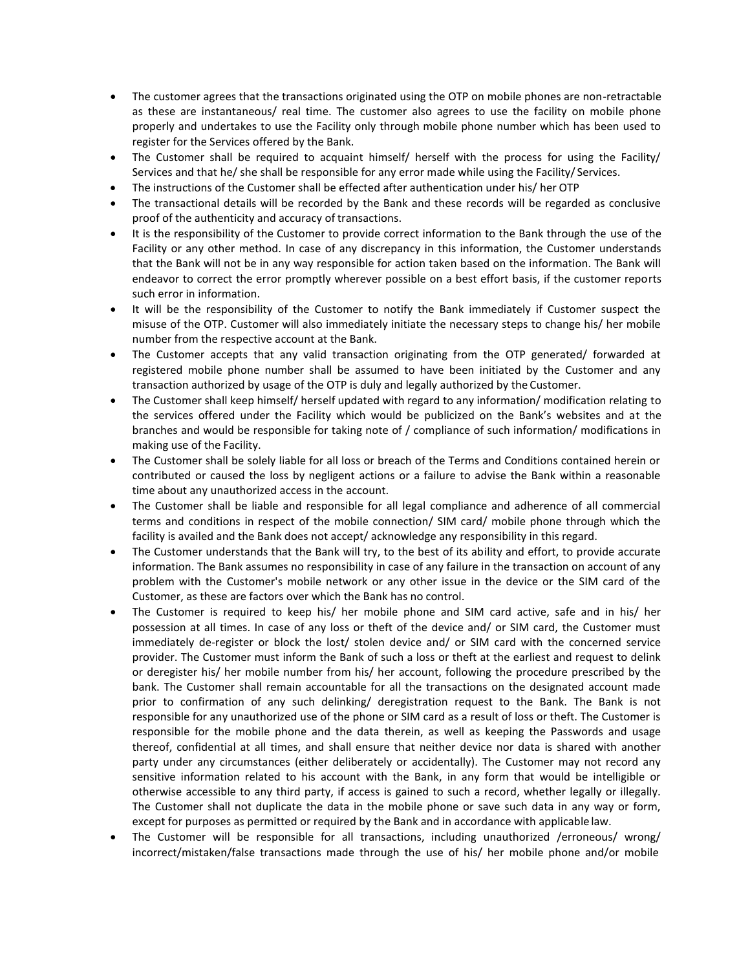- The customer agrees that the transactions originated using the OTP on mobile phones are non-retractable as these are instantaneous/ real time. The customer also agrees to use the facility on mobile phone properly and undertakes to use the Facility only through mobile phone number which has been used to register for the Services offered by the Bank.
- The Customer shall be required to acquaint himself/ herself with the process for using the Facility/ Services and that he/ she shall be responsible for any error made while using the Facility/ Services.
- The instructions of the Customer shall be effected after authentication under his/ her OTP
- The transactional details will be recorded by the Bank and these records will be regarded as conclusive proof of the authenticity and accuracy of transactions.
- It is the responsibility of the Customer to provide correct information to the Bank through the use of the Facility or any other method. In case of any discrepancy in this information, the Customer understands that the Bank will not be in any way responsible for action taken based on the information. The Bank will endeavor to correct the error promptly wherever possible on a best effort basis, if the customer reports such error in information.
- It will be the responsibility of the Customer to notify the Bank immediately if Customer suspect the misuse of the OTP. Customer will also immediately initiate the necessary steps to change his/ her mobile number from the respective account at the Bank.
- The Customer accepts that any valid transaction originating from the OTP generated/ forwarded at registered mobile phone number shall be assumed to have been initiated by the Customer and any transaction authorized by usage of the OTP is duly and legally authorized by the Customer.
- The Customer shall keep himself/ herself updated with regard to any information/ modification relating to the services offered under the Facility which would be publicized on the Bank's websites and at the branches and would be responsible for taking note of / compliance of such information/ modifications in making use of the Facility.
- The Customer shall be solely liable for all loss or breach of the Terms and Conditions contained herein or contributed or caused the loss by negligent actions or a failure to advise the Bank within a reasonable time about any unauthorized access in the account.
- The Customer shall be liable and responsible for all legal compliance and adherence of all commercial terms and conditions in respect of the mobile connection/ SIM card/ mobile phone through which the facility is availed and the Bank does not accept/ acknowledge any responsibility in this regard.
- The Customer understands that the Bank will try, to the best of its ability and effort, to provide accurate information. The Bank assumes no responsibility in case of any failure in the transaction on account of any problem with the Customer's mobile network or any other issue in the device or the SIM card of the Customer, as these are factors over which the Bank has no control.
- The Customer is required to keep his/ her mobile phone and SIM card active, safe and in his/ her possession at all times. In case of any loss or theft of the device and/ or SIM card, the Customer must immediately de-register or block the lost/ stolen device and/ or SIM card with the concerned service provider. The Customer must inform the Bank of such a loss or theft at the earliest and request to delink or deregister his/ her mobile number from his/ her account, following the procedure prescribed by the bank. The Customer shall remain accountable for all the transactions on the designated account made prior to confirmation of any such delinking/ deregistration request to the Bank. The Bank is not responsible for any unauthorized use of the phone or SIM card as a result of loss or theft. The Customer is responsible for the mobile phone and the data therein, as well as keeping the Passwords and usage thereof, confidential at all times, and shall ensure that neither device nor data is shared with another party under any circumstances (either deliberately or accidentally). The Customer may not record any sensitive information related to his account with the Bank, in any form that would be intelligible or otherwise accessible to any third party, if access is gained to such a record, whether legally or illegally. The Customer shall not duplicate the data in the mobile phone or save such data in any way or form, except for purposes as permitted or required by the Bank and in accordance with applicable law.
- The Customer will be responsible for all transactions, including unauthorized /erroneous/ wrong/ incorrect/mistaken/false transactions made through the use of his/ her mobile phone and/or mobile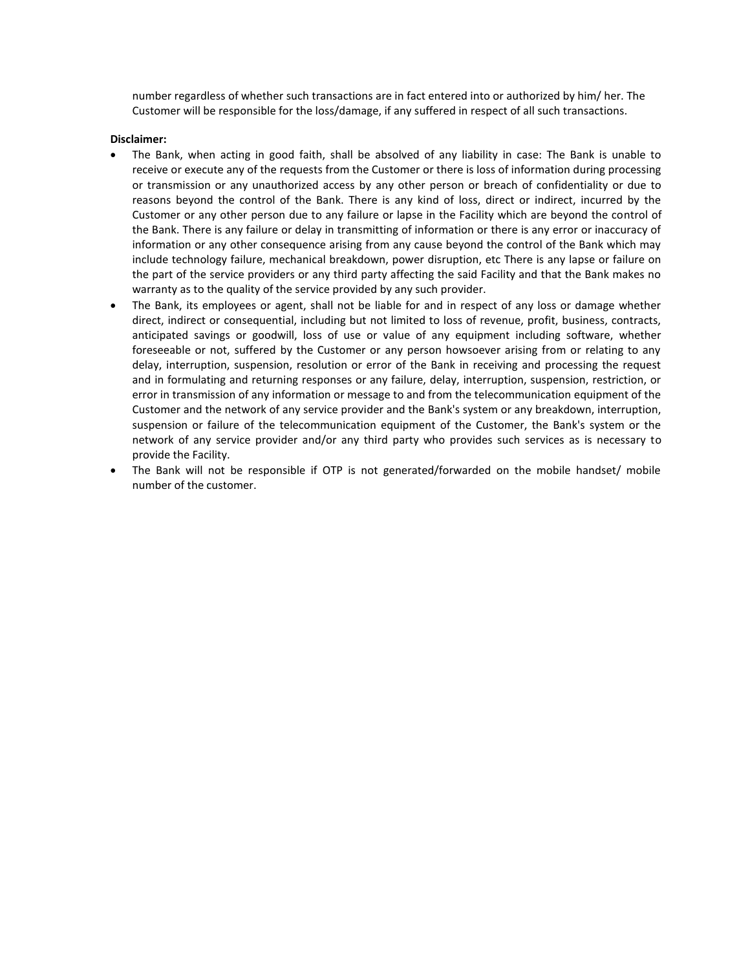number regardless of whether such transactions are in fact entered into or authorized by him/ her. The Customer will be responsible for the loss/damage, if any suffered in respect of all such transactions.

### **Disclaimer:**

- The Bank, when acting in good faith, shall be absolved of any liability in case: The Bank is unable to receive or execute any of the requests from the Customer or there is loss of information during processing or transmission or any unauthorized access by any other person or breach of confidentiality or due to reasons beyond the control of the Bank. There is any kind of loss, direct or indirect, incurred by the Customer or any other person due to any failure or lapse in the Facility which are beyond the control of the Bank. There is any failure or delay in transmitting of information or there is any error or inaccuracy of information or any other consequence arising from any cause beyond the control of the Bank which may include technology failure, mechanical breakdown, power disruption, etc There is any lapse or failure on the part of the service providers or any third party affecting the said Facility and that the Bank makes no warranty as to the quality of the service provided by any such provider.
- The Bank, its employees or agent, shall not be liable for and in respect of any loss or damage whether direct, indirect or consequential, including but not limited to loss of revenue, profit, business, contracts, anticipated savings or goodwill, loss of use or value of any equipment including software, whether foreseeable or not, suffered by the Customer or any person howsoever arising from or relating to any delay, interruption, suspension, resolution or error of the Bank in receiving and processing the request and in formulating and returning responses or any failure, delay, interruption, suspension, restriction, or error in transmission of any information or message to and from the telecommunication equipment of the Customer and the network of any service provider and the Bank's system or any breakdown, interruption, suspension or failure of the telecommunication equipment of the Customer, the Bank's system or the network of any service provider and/or any third party who provides such services as is necessary to provide the Facility.
- The Bank will not be responsible if OTP is not generated/forwarded on the mobile handset/ mobile number of the customer.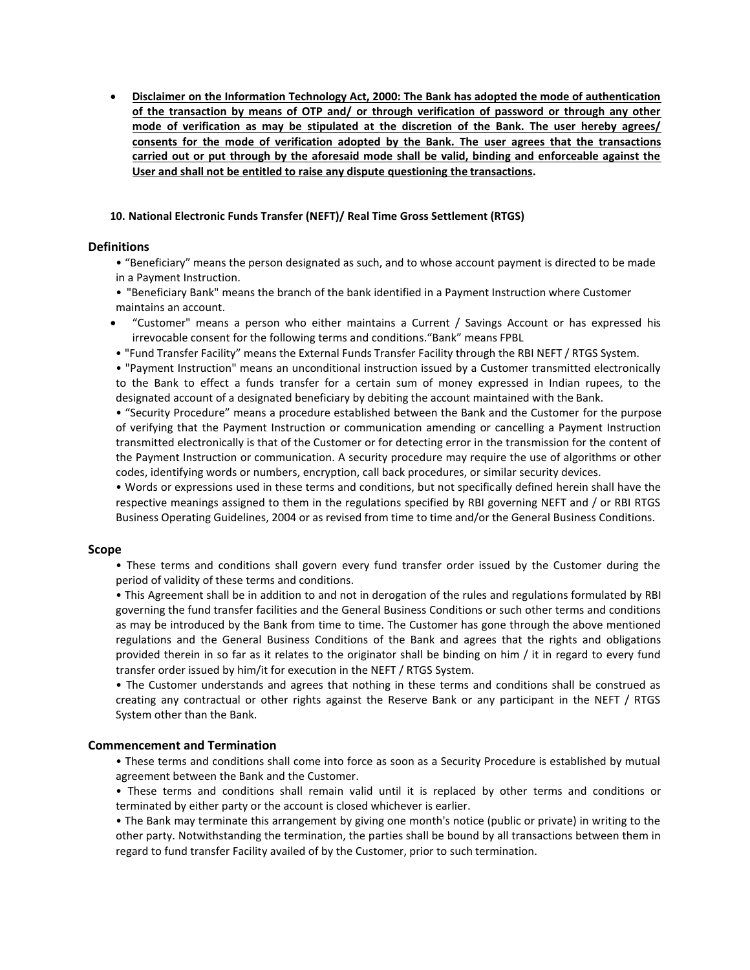• **Disclaimer on the Information Technology Act, 2000: The Bank has adopted the mode of authentication of the transaction by means of OTP and/ or through verification of password or through any other mode of verification as may be stipulated at the discretion of the Bank. The user hereby agrees/ consents for the mode of verification adopted by the Bank. The user agrees that the transactions carried out or put through by the aforesaid mode shall be valid, binding and enforceable against the User and shall not be entitled to raise any dispute questioning the transactions.**

### **10. National Electronic Funds Transfer (NEFT)/ Real Time Gross Settlement (RTGS)**

### **Definitions**

- "Beneficiary" means the person designated as such, and to whose account payment is directed to be made in a Payment Instruction.
- "Beneficiary Bank" means the branch of the bank identified in a Payment Instruction where Customer maintains an account.
- "Customer" means a person who either maintains a Current / Savings Account or has expressed his irrevocable consent for the following terms and conditions."Bank" means FPBL
- "Fund Transfer Facility" means the External Funds Transfer Facility through the RBI NEFT / RTGS System.

• "Payment Instruction" means an unconditional instruction issued by a Customer transmitted electronically to the Bank to effect a funds transfer for a certain sum of money expressed in Indian rupees, to the designated account of a designated beneficiary by debiting the account maintained with the Bank.

• "Security Procedure" means a procedure established between the Bank and the Customer for the purpose of verifying that the Payment Instruction or communication amending or cancelling a Payment Instruction transmitted electronically is that of the Customer or for detecting error in the transmission for the content of the Payment Instruction or communication. A security procedure may require the use of algorithms or other codes, identifying words or numbers, encryption, call back procedures, or similar security devices.

• Words or expressions used in these terms and conditions, but not specifically defined herein shall have the respective meanings assigned to them in the regulations specified by RBI governing NEFT and / or RBI RTGS Business Operating Guidelines, 2004 or as revised from time to time and/or the General Business Conditions.

### **Scope**

• These terms and conditions shall govern every fund transfer order issued by the Customer during the period of validity of these terms and conditions.

• This Agreement shall be in addition to and not in derogation of the rules and regulations formulated by RBI governing the fund transfer facilities and the General Business Conditions or such other terms and conditions as may be introduced by the Bank from time to time. The Customer has gone through the above mentioned regulations and the General Business Conditions of the Bank and agrees that the rights and obligations provided therein in so far as it relates to the originator shall be binding on him / it in regard to every fund transfer order issued by him/it for execution in the NEFT / RTGS System.

• The Customer understands and agrees that nothing in these terms and conditions shall be construed as creating any contractual or other rights against the Reserve Bank or any participant in the NEFT / RTGS System other than the Bank.

## **Commencement and Termination**

- These terms and conditions shall come into force as soon as a Security Procedure is established by mutual agreement between the Bank and the Customer.
- These terms and conditions shall remain valid until it is replaced by other terms and conditions or terminated by either party or the account is closed whichever is earlier.
- The Bank may terminate this arrangement by giving one month's notice (public or private) in writing to the other party. Notwithstanding the termination, the parties shall be bound by all transactions between them in regard to fund transfer Facility availed of by the Customer, prior to such termination.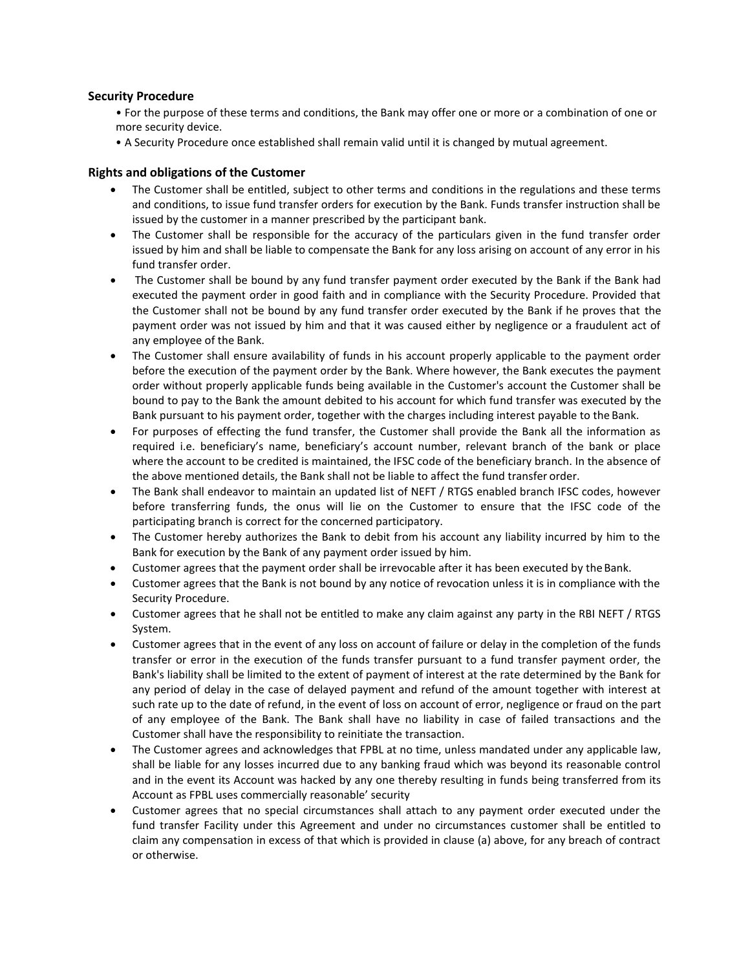## **Security Procedure**

- For the purpose of these terms and conditions, the Bank may offer one or more or a combination of one or more security device.
- A Security Procedure once established shall remain valid until it is changed by mutual agreement.

# **Rights and obligations of the Customer**

- The Customer shall be entitled, subject to other terms and conditions in the regulations and these terms and conditions, to issue fund transfer orders for execution by the Bank. Funds transfer instruction shall be issued by the customer in a manner prescribed by the participant bank.
- The Customer shall be responsible for the accuracy of the particulars given in the fund transfer order issued by him and shall be liable to compensate the Bank for any loss arising on account of any error in his fund transfer order.
- The Customer shall be bound by any fund transfer payment order executed by the Bank if the Bank had executed the payment order in good faith and in compliance with the Security Procedure. Provided that the Customer shall not be bound by any fund transfer order executed by the Bank if he proves that the payment order was not issued by him and that it was caused either by negligence or a fraudulent act of any employee of the Bank.
- The Customer shall ensure availability of funds in his account properly applicable to the payment order before the execution of the payment order by the Bank. Where however, the Bank executes the payment order without properly applicable funds being available in the Customer's account the Customer shall be bound to pay to the Bank the amount debited to his account for which fund transfer was executed by the Bank pursuant to his payment order, together with the charges including interest payable to the Bank.
- For purposes of effecting the fund transfer, the Customer shall provide the Bank all the information as required i.e. beneficiary's name, beneficiary's account number, relevant branch of the bank or place where the account to be credited is maintained, the IFSC code of the beneficiary branch. In the absence of the above mentioned details, the Bank shall not be liable to affect the fund transfer order.
- The Bank shall endeavor to maintain an updated list of NEFT / RTGS enabled branch IFSC codes, however before transferring funds, the onus will lie on the Customer to ensure that the IFSC code of the participating branch is correct for the concerned participatory.
- The Customer hereby authorizes the Bank to debit from his account any liability incurred by him to the Bank for execution by the Bank of any payment order issued by him.
- Customer agrees that the payment order shall be irrevocable after it has been executed by the Bank.
- Customer agrees that the Bank is not bound by any notice of revocation unless it is in compliance with the Security Procedure.
- Customer agrees that he shall not be entitled to make any claim against any party in the RBI NEFT / RTGS System.
- Customer agrees that in the event of any loss on account of failure or delay in the completion of the funds transfer or error in the execution of the funds transfer pursuant to a fund transfer payment order, the Bank's liability shall be limited to the extent of payment of interest at the rate determined by the Bank for any period of delay in the case of delayed payment and refund of the amount together with interest at such rate up to the date of refund, in the event of loss on account of error, negligence or fraud on the part of any employee of the Bank. The Bank shall have no liability in case of failed transactions and the Customer shall have the responsibility to reinitiate the transaction.
- The Customer agrees and acknowledges that FPBL at no time, unless mandated under any applicable law, shall be liable for any losses incurred due to any banking fraud which was beyond its reasonable control and in the event its Account was hacked by any one thereby resulting in funds being transferred from its Account as FPBL uses commercially reasonable' security
- Customer agrees that no special circumstances shall attach to any payment order executed under the fund transfer Facility under this Agreement and under no circumstances customer shall be entitled to claim any compensation in excess of that which is provided in clause (a) above, for any breach of contract or otherwise.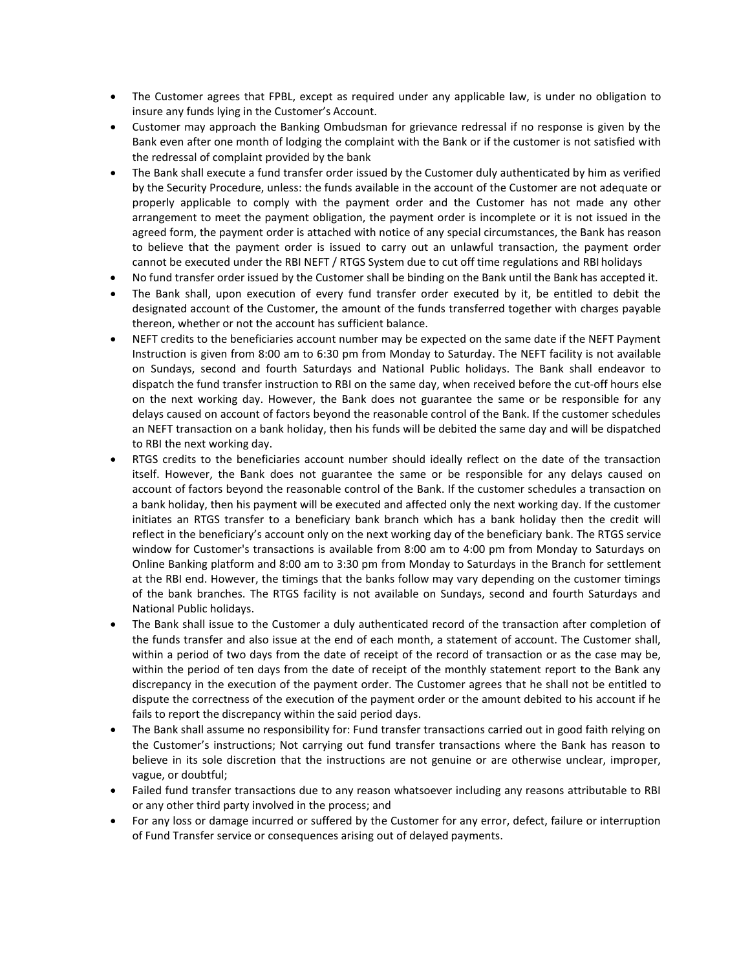- The Customer agrees that FPBL, except as required under any applicable law, is under no obligation to insure any funds lying in the Customer's Account.
- Customer may approach the Banking Ombudsman for grievance redressal if no response is given by the Bank even after one month of lodging the complaint with the Bank or if the customer is not satisfied with the redressal of complaint provided by the bank
- The Bank shall execute a fund transfer order issued by the Customer duly authenticated by him as verified by the Security Procedure, unless: the funds available in the account of the Customer are not adequate or properly applicable to comply with the payment order and the Customer has not made any other arrangement to meet the payment obligation, the payment order is incomplete or it is not issued in the agreed form, the payment order is attached with notice of any special circumstances, the Bank has reason to believe that the payment order is issued to carry out an unlawful transaction, the payment order cannot be executed under the RBI NEFT / RTGS System due to cut off time regulations and RBI holidays
- No fund transfer order issued by the Customer shall be binding on the Bank until the Bank has accepted it.
- The Bank shall, upon execution of every fund transfer order executed by it, be entitled to debit the designated account of the Customer, the amount of the funds transferred together with charges payable thereon, whether or not the account has sufficient balance.
- NEFT credits to the beneficiaries account number may be expected on the same date if the NEFT Payment Instruction is given from 8:00 am to 6:30 pm from Monday to Saturday. The NEFT facility is not available on Sundays, second and fourth Saturdays and National Public holidays. The Bank shall endeavor to dispatch the fund transfer instruction to RBI on the same day, when received before the cut-off hours else on the next working day. However, the Bank does not guarantee the same or be responsible for any delays caused on account of factors beyond the reasonable control of the Bank. If the customer schedules an NEFT transaction on a bank holiday, then his funds will be debited the same day and will be dispatched to RBI the next working day.
- RTGS credits to the beneficiaries account number should ideally reflect on the date of the transaction itself. However, the Bank does not guarantee the same or be responsible for any delays caused on account of factors beyond the reasonable control of the Bank. If the customer schedules a transaction on a bank holiday, then his payment will be executed and affected only the next working day. If the customer initiates an RTGS transfer to a beneficiary bank branch which has a bank holiday then the credit will reflect in the beneficiary's account only on the next working day of the beneficiary bank. The RTGS service window for Customer's transactions is available from 8:00 am to 4:00 pm from Monday to Saturdays on Online Banking platform and 8:00 am to 3:30 pm from Monday to Saturdays in the Branch for settlement at the RBI end. However, the timings that the banks follow may vary depending on the customer timings of the bank branches. The RTGS facility is not available on Sundays, second and fourth Saturdays and National Public holidays.
- The Bank shall issue to the Customer a duly authenticated record of the transaction after completion of the funds transfer and also issue at the end of each month, a statement of account. The Customer shall, within a period of two days from the date of receipt of the record of transaction or as the case may be, within the period of ten days from the date of receipt of the monthly statement report to the Bank any discrepancy in the execution of the payment order. The Customer agrees that he shall not be entitled to dispute the correctness of the execution of the payment order or the amount debited to his account if he fails to report the discrepancy within the said period days.
- The Bank shall assume no responsibility for: Fund transfer transactions carried out in good faith relying on the Customer's instructions; Not carrying out fund transfer transactions where the Bank has reason to believe in its sole discretion that the instructions are not genuine or are otherwise unclear, improper, vague, or doubtful;
- Failed fund transfer transactions due to any reason whatsoever including any reasons attributable to RBI or any other third party involved in the process; and
- For any loss or damage incurred or suffered by the Customer for any error, defect, failure or interruption of Fund Transfer service or consequences arising out of delayed payments.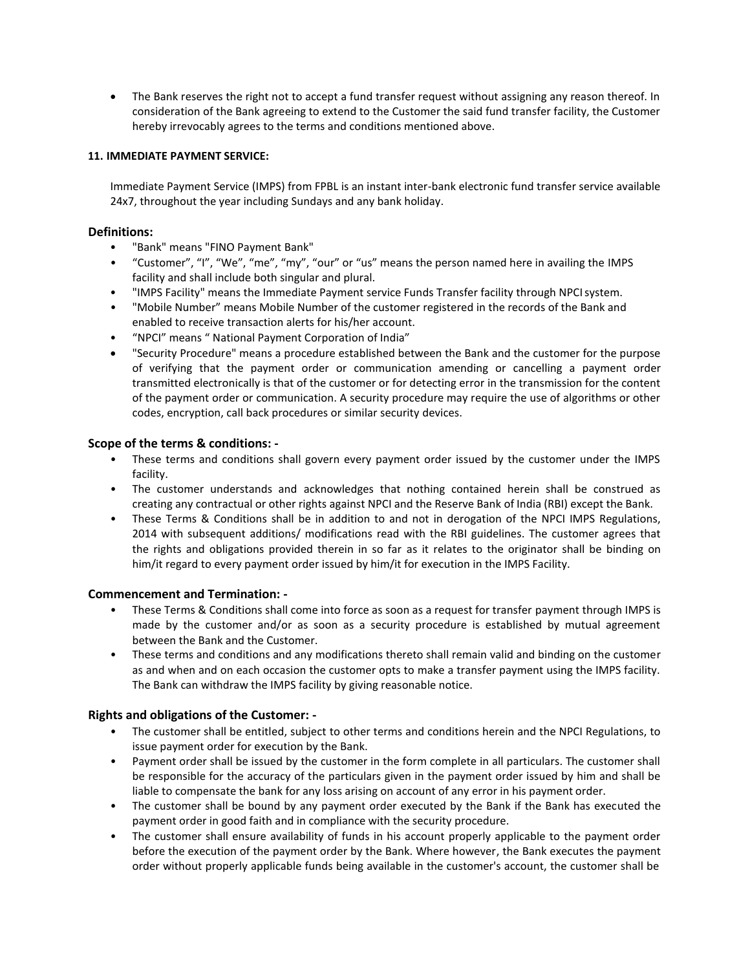• The Bank reserves the right not to accept a fund transfer request without assigning any reason thereof. In consideration of the Bank agreeing to extend to the Customer the said fund transfer facility, the Customer hereby irrevocably agrees to the terms and conditions mentioned above.

## **11. IMMEDIATE PAYMENT SERVICE:**

Immediate Payment Service (IMPS) from FPBL is an instant inter-bank electronic fund transfer service available 24x7, throughout the year including Sundays and any bank holiday.

## **Definitions:**

- "Bank" means "FINO Payment Bank"
- "Customer", "I", "We", "me", "my", "our" or "us" means the person named here in availing the IMPS facility and shall include both singular and plural.
- "IMPS Facility" means the Immediate Payment service Funds Transfer facility through NPCIsystem.
- "Mobile Number" means Mobile Number of the customer registered in the records of the Bank and enabled to receive transaction alerts for his/her account.
- "NPCI" means " National Payment Corporation of India"
- "Security Procedure" means a procedure established between the Bank and the customer for the purpose of verifying that the payment order or communication amending or cancelling a payment order transmitted electronically is that of the customer or for detecting error in the transmission for the content of the payment order or communication. A security procedure may require the use of algorithms or other codes, encryption, call back procedures or similar security devices.

## **Scope of the terms & conditions: -**

- These terms and conditions shall govern every payment order issued by the customer under the IMPS facility.
- The customer understands and acknowledges that nothing contained herein shall be construed as creating any contractual or other rights against NPCI and the Reserve Bank of India (RBI) except the Bank.
- These Terms & Conditions shall be in addition to and not in derogation of the NPCI IMPS Regulations, 2014 with subsequent additions/ modifications read with the RBI guidelines. The customer agrees that the rights and obligations provided therein in so far as it relates to the originator shall be binding on him/it regard to every payment order issued by him/it for execution in the IMPS Facility.

## **Commencement and Termination: -**

- These Terms & Conditions shall come into force as soon as a request for transfer payment through IMPS is made by the customer and/or as soon as a security procedure is established by mutual agreement between the Bank and the Customer.
- These terms and conditions and any modifications thereto shall remain valid and binding on the customer as and when and on each occasion the customer opts to make a transfer payment using the IMPS facility. The Bank can withdraw the IMPS facility by giving reasonable notice.

# **Rights and obligations of the Customer: -**

- The customer shall be entitled, subject to other terms and conditions herein and the NPCI Regulations, to issue payment order for execution by the Bank.
- Payment order shall be issued by the customer in the form complete in all particulars. The customer shall be responsible for the accuracy of the particulars given in the payment order issued by him and shall be liable to compensate the bank for any loss arising on account of any error in his payment order.
- The customer shall be bound by any payment order executed by the Bank if the Bank has executed the payment order in good faith and in compliance with the security procedure.
- The customer shall ensure availability of funds in his account properly applicable to the payment order before the execution of the payment order by the Bank. Where however, the Bank executes the payment order without properly applicable funds being available in the customer's account, the customer shall be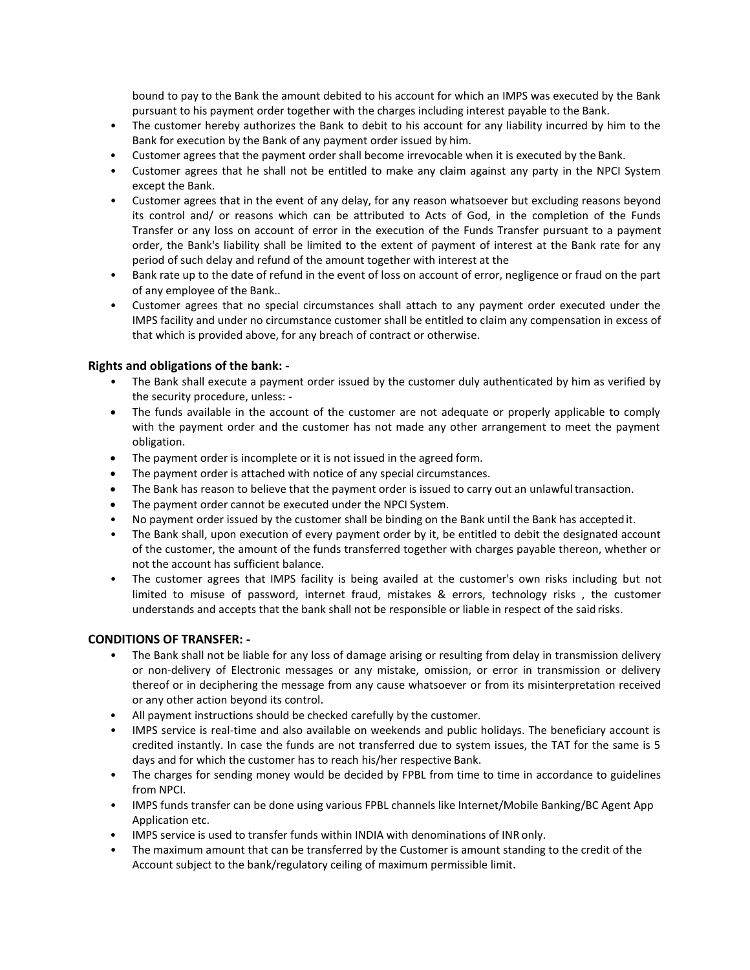bound to pay to the Bank the amount debited to his account for which an IMPS was executed by the Bank pursuant to his payment order together with the charges including interest payable to the Bank.

- The customer hereby authorizes the Bank to debit to his account for any liability incurred by him to the Bank for execution by the Bank of any payment order issued by him.
- Customer agrees that the payment order shall become irrevocable when it is executed by the Bank.
- Customer agrees that he shall not be entitled to make any claim against any party in the NPCI System except the Bank.
- Customer agrees that in the event of any delay, for any reason whatsoever but excluding reasons beyond its control and/ or reasons which can be attributed to Acts of God, in the completion of the Funds Transfer or any loss on account of error in the execution of the Funds Transfer pursuant to a payment order, the Bank's liability shall be limited to the extent of payment of interest at the Bank rate for any period of such delay and refund of the amount together with interest at the
- Bank rate up to the date of refund in the event of loss on account of error, negligence or fraud on the part of any employee of the Bank..
- Customer agrees that no special circumstances shall attach to any payment order executed under the IMPS facility and under no circumstance customer shall be entitled to claim any compensation in excess of that which is provided above, for any breach of contract or otherwise.

## **Rights and obligations of the bank: -**

- The Bank shall execute a payment order issued by the customer duly authenticated by him as verified by the security procedure, unless: -
- The funds available in the account of the customer are not adequate or properly applicable to comply with the payment order and the customer has not made any other arrangement to meet the payment obligation.
- The payment order is incomplete or it is not issued in the agreed form.
- The payment order is attached with notice of any special circumstances.
- The Bank has reason to believe that the payment order is issued to carry out an unlawful transaction.
- The payment order cannot be executed under the NPCI System.
- No payment order issued by the customer shall be binding on the Bank until the Bank has acceptedit.
- The Bank shall, upon execution of every payment order by it, be entitled to debit the designated account of the customer, the amount of the funds transferred together with charges payable thereon, whether or not the account has sufficient balance.
- The customer agrees that IMPS facility is being availed at the customer's own risks including but not limited to misuse of password, internet fraud, mistakes & errors, technology risks , the customer understands and accepts that the bank shall not be responsible or liable in respect of the said risks.

# **CONDITIONS OF TRANSFER: -**

- The Bank shall not be liable for any loss of damage arising or resulting from delay in transmission delivery or non-delivery of Electronic messages or any mistake, omission, or error in transmission or delivery thereof or in deciphering the message from any cause whatsoever or from its misinterpretation received or any other action beyond its control.
- All payment instructions should be checked carefully by the customer.
- IMPS service is real-time and also available on weekends and public holidays. The beneficiary account is credited instantly. In case the funds are not transferred due to system issues, the TAT for the same is 5 days and for which the customer has to reach his/her respective Bank.
- The charges for sending money would be decided by FPBL from time to time in accordance to guidelines from NPCI.
- IMPS funds transfer can be done using various FPBL channels like Internet/Mobile Banking/BC Agent App Application etc.
- IMPS service is used to transfer funds within INDIA with denominations of INR only.
- The maximum amount that can be transferred by the Customer is amount standing to the credit of the Account subject to the bank/regulatory ceiling of maximum permissible limit.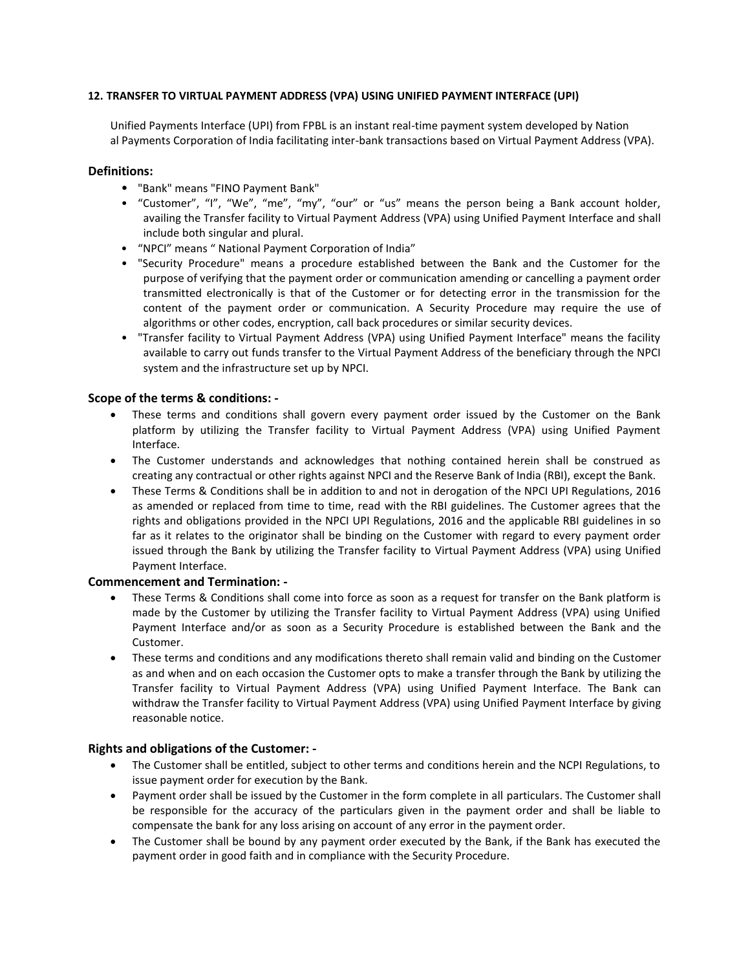## **12. TRANSFER TO VIRTUAL PAYMENT ADDRESS (VPA) USING UNIFIED PAYMENT INTERFACE (UPI)**

Unified Payments Interface (UPI) from FPBL is an instant real-time payment system developed by Nation al Payments Corporation of India facilitating inter-bank transactions based on Virtual Payment Address (VPA).

### **Definitions:**

- "Bank" means "FINO Payment Bank"
- "Customer", "I", "We", "me", "my", "our" or "us" means the person being a Bank account holder, availing the Transfer facility to Virtual Payment Address (VPA) using Unified Payment Interface and shall include both singular and plural.
- "NPCI" means " National Payment Corporation of India"
- "Security Procedure" means a procedure established between the Bank and the Customer for the purpose of verifying that the payment order or communication amending or cancelling a payment order transmitted electronically is that of the Customer or for detecting error in the transmission for the content of the payment order or communication. A Security Procedure may require the use of algorithms or other codes, encryption, call back procedures or similar security devices.
- "Transfer facility to Virtual Payment Address (VPA) using Unified Payment Interface" means the facility available to carry out funds transfer to the Virtual Payment Address of the beneficiary through the NPCI system and the infrastructure set up by NPCI.

## **Scope of the terms & conditions: -**

- These terms and conditions shall govern every payment order issued by the Customer on the Bank platform by utilizing the Transfer facility to Virtual Payment Address (VPA) using Unified Payment Interface.
- The Customer understands and acknowledges that nothing contained herein shall be construed as creating any contractual or other rights against NPCI and the Reserve Bank of India (RBI), except the Bank.
- These Terms & Conditions shall be in addition to and not in derogation of the NPCI UPI Regulations, 2016 as amended or replaced from time to time, read with the RBI guidelines. The Customer agrees that the rights and obligations provided in the NPCI UPI Regulations, 2016 and the applicable RBI guidelines in so far as it relates to the originator shall be binding on the Customer with regard to every payment order issued through the Bank by utilizing the Transfer facility to Virtual Payment Address (VPA) using Unified Payment Interface.

## **Commencement and Termination: -**

- These Terms & Conditions shall come into force as soon as a request for transfer on the Bank platform is made by the Customer by utilizing the Transfer facility to Virtual Payment Address (VPA) using Unified Payment Interface and/or as soon as a Security Procedure is established between the Bank and the Customer.
- These terms and conditions and any modifications thereto shall remain valid and binding on the Customer as and when and on each occasion the Customer opts to make a transfer through the Bank by utilizing the Transfer facility to Virtual Payment Address (VPA) using Unified Payment Interface. The Bank can withdraw the Transfer facility to Virtual Payment Address (VPA) using Unified Payment Interface by giving reasonable notice.

## **Rights and obligations of the Customer: -**

- The Customer shall be entitled, subject to other terms and conditions herein and the NCPI Regulations, to issue payment order for execution by the Bank.
- Payment order shall be issued by the Customer in the form complete in all particulars. The Customer shall be responsible for the accuracy of the particulars given in the payment order and shall be liable to compensate the bank for any loss arising on account of any error in the payment order.
- The Customer shall be bound by any payment order executed by the Bank, if the Bank has executed the payment order in good faith and in compliance with the Security Procedure.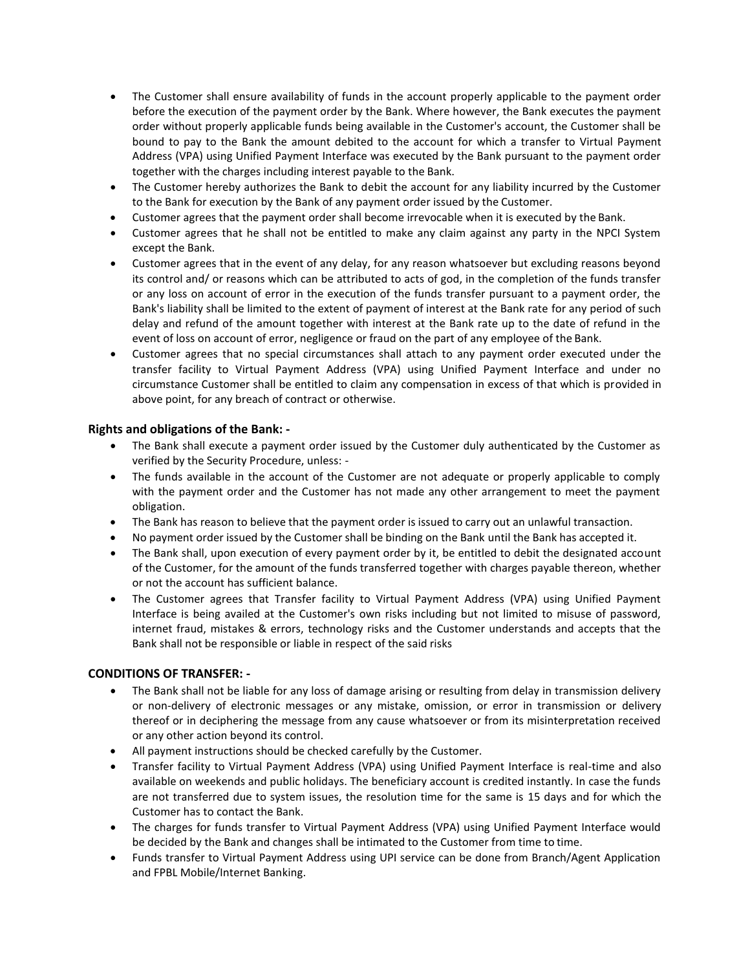- The Customer shall ensure availability of funds in the account properly applicable to the payment order before the execution of the payment order by the Bank. Where however, the Bank executes the payment order without properly applicable funds being available in the Customer's account, the Customer shall be bound to pay to the Bank the amount debited to the account for which a transfer to Virtual Payment Address (VPA) using Unified Payment Interface was executed by the Bank pursuant to the payment order together with the charges including interest payable to the Bank.
- The Customer hereby authorizes the Bank to debit the account for any liability incurred by the Customer to the Bank for execution by the Bank of any payment order issued by the Customer.
- Customer agrees that the payment order shall become irrevocable when it is executed by the Bank.
- Customer agrees that he shall not be entitled to make any claim against any party in the NPCI System except the Bank.
- Customer agrees that in the event of any delay, for any reason whatsoever but excluding reasons beyond its control and/ or reasons which can be attributed to acts of god, in the completion of the funds transfer or any loss on account of error in the execution of the funds transfer pursuant to a payment order, the Bank's liability shall be limited to the extent of payment of interest at the Bank rate for any period of such delay and refund of the amount together with interest at the Bank rate up to the date of refund in the event of loss on account of error, negligence or fraud on the part of any employee of the Bank.
- Customer agrees that no special circumstances shall attach to any payment order executed under the transfer facility to Virtual Payment Address (VPA) using Unified Payment Interface and under no circumstance Customer shall be entitled to claim any compensation in excess of that which is provided in above point, for any breach of contract or otherwise.

## **Rights and obligations of the Bank: -**

- The Bank shall execute a payment order issued by the Customer duly authenticated by the Customer as verified by the Security Procedure, unless: -
- The funds available in the account of the Customer are not adequate or properly applicable to comply with the payment order and the Customer has not made any other arrangement to meet the payment obligation.
- The Bank has reason to believe that the payment order is issued to carry out an unlawful transaction.
- No payment order issued by the Customer shall be binding on the Bank until the Bank has accepted it.
- The Bank shall, upon execution of every payment order by it, be entitled to debit the designated account of the Customer, for the amount of the funds transferred together with charges payable thereon, whether or not the account has sufficient balance.
- The Customer agrees that Transfer facility to Virtual Payment Address (VPA) using Unified Payment Interface is being availed at the Customer's own risks including but not limited to misuse of password, internet fraud, mistakes & errors, technology risks and the Customer understands and accepts that the Bank shall not be responsible or liable in respect of the said risks

# **CONDITIONS OF TRANSFER: -**

- The Bank shall not be liable for any loss of damage arising or resulting from delay in transmission delivery or non-delivery of electronic messages or any mistake, omission, or error in transmission or delivery thereof or in deciphering the message from any cause whatsoever or from its misinterpretation received or any other action beyond its control.
- All payment instructions should be checked carefully by the Customer.
- Transfer facility to Virtual Payment Address (VPA) using Unified Payment Interface is real-time and also available on weekends and public holidays. The beneficiary account is credited instantly. In case the funds are not transferred due to system issues, the resolution time for the same is 15 days and for which the Customer has to contact the Bank.
- The charges for funds transfer to Virtual Payment Address (VPA) using Unified Payment Interface would be decided by the Bank and changes shall be intimated to the Customer from time to time.
- Funds transfer to Virtual Payment Address using UPI service can be done from Branch/Agent Application and FPBL Mobile/Internet Banking.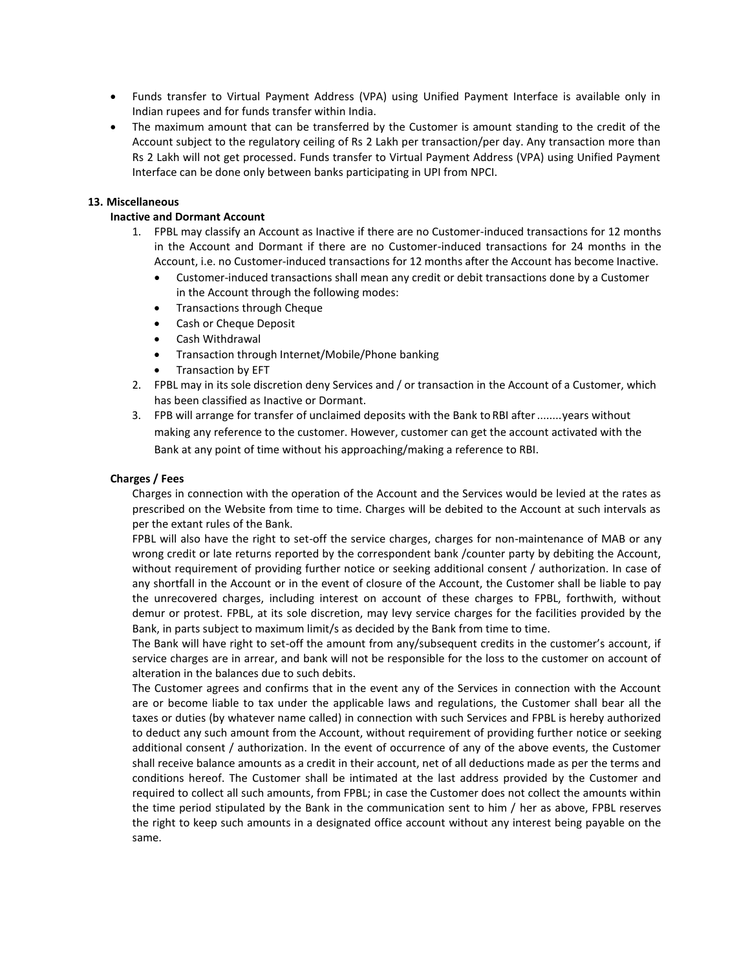- Funds transfer to Virtual Payment Address (VPA) using Unified Payment Interface is available only in Indian rupees and for funds transfer within India.
- The maximum amount that can be transferred by the Customer is amount standing to the credit of the Account subject to the regulatory ceiling of Rs 2 Lakh per transaction/per day. Any transaction more than Rs 2 Lakh will not get processed. Funds transfer to Virtual Payment Address (VPA) using Unified Payment Interface can be done only between banks participating in UPI from NPCI.

## **13. Miscellaneous**

### **Inactive and Dormant Account**

- 1. FPBL may classify an Account as Inactive if there are no Customer-induced transactions for 12 months in the Account and Dormant if there are no Customer-induced transactions for 24 months in the Account, i.e. no Customer-induced transactions for 12 months after the Account has become Inactive.
	- Customer-induced transactions shall mean any credit or debit transactions done by a Customer in the Account through the following modes:
	- Transactions through Cheque
	- Cash or Cheque Deposit
	- Cash Withdrawal
	- Transaction through Internet/Mobile/Phone banking
	- Transaction by EFT
- 2. FPBL may in its sole discretion deny Services and / or transaction in the Account of a Customer, which has been classified as Inactive or Dormant.
- 3. FPB will arrange for transfer of unclaimed deposits with the Bank to RBI after........years without making any reference to the customer. However, customer can get the account activated with the Bank at any point of time without his approaching/making a reference to RBI.

### **Charges / Fees**

Charges in connection with the operation of the Account and the Services would be levied at the rates as prescribed on the Website from time to time. Charges will be debited to the Account at such intervals as per the extant rules of the Bank.

FPBL will also have the right to set-off the service charges, charges for non-maintenance of MAB or any wrong credit or late returns reported by the correspondent bank /counter party by debiting the Account, without requirement of providing further notice or seeking additional consent / authorization. In case of any shortfall in the Account or in the event of closure of the Account, the Customer shall be liable to pay the unrecovered charges, including interest on account of these charges to FPBL, forthwith, without demur or protest. FPBL, at its sole discretion, may levy service charges for the facilities provided by the Bank, in parts subject to maximum limit/s as decided by the Bank from time to time.

The Bank will have right to set-off the amount from any/subsequent credits in the customer's account, if service charges are in arrear, and bank will not be responsible for the loss to the customer on account of alteration in the balances due to such debits.

The Customer agrees and confirms that in the event any of the Services in connection with the Account are or become liable to tax under the applicable laws and regulations, the Customer shall bear all the taxes or duties (by whatever name called) in connection with such Services and FPBL is hereby authorized to deduct any such amount from the Account, without requirement of providing further notice or seeking additional consent / authorization. In the event of occurrence of any of the above events, the Customer shall receive balance amounts as a credit in their account, net of all deductions made as per the terms and conditions hereof. The Customer shall be intimated at the last address provided by the Customer and required to collect all such amounts, from FPBL; in case the Customer does not collect the amounts within the time period stipulated by the Bank in the communication sent to him / her as above, FPBL reserves the right to keep such amounts in a designated office account without any interest being payable on the same.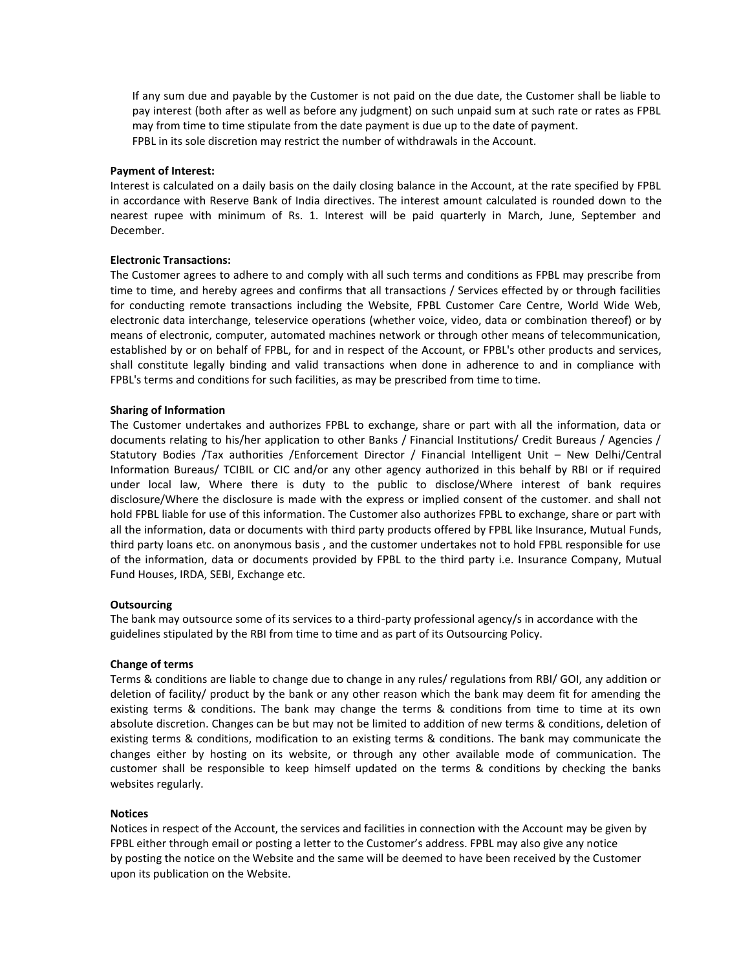If any sum due and payable by the Customer is not paid on the due date, the Customer shall be liable to pay interest (both after as well as before any judgment) on such unpaid sum at such rate or rates as FPBL may from time to time stipulate from the date payment is due up to the date of payment. FPBL in its sole discretion may restrict the number of withdrawals in the Account.

#### **Payment of Interest:**

Interest is calculated on a daily basis on the daily closing balance in the Account, at the rate specified by FPBL in accordance with Reserve Bank of India directives. The interest amount calculated is rounded down to the nearest rupee with minimum of Rs. 1. Interest will be paid quarterly in March, June, September and December.

#### **Electronic Transactions:**

The Customer agrees to adhere to and comply with all such terms and conditions as FPBL may prescribe from time to time, and hereby agrees and confirms that all transactions / Services effected by or through facilities for conducting remote transactions including the Website, FPBL Customer Care Centre, World Wide Web, electronic data interchange, teleservice operations (whether voice, video, data or combination thereof) or by means of electronic, computer, automated machines network or through other means of telecommunication, established by or on behalf of FPBL, for and in respect of the Account, or FPBL's other products and services, shall constitute legally binding and valid transactions when done in adherence to and in compliance with FPBL's terms and conditions for such facilities, as may be prescribed from time to time.

#### **Sharing of Information**

The Customer undertakes and authorizes FPBL to exchange, share or part with all the information, data or documents relating to his/her application to other Banks / Financial Institutions/ Credit Bureaus / Agencies / Statutory Bodies /Tax authorities /Enforcement Director / Financial Intelligent Unit – New Delhi/Central Information Bureaus/ TCIBIL or CIC and/or any other agency authorized in this behalf by RBI or if required under local law, Where there is duty to the public to disclose/Where interest of bank requires disclosure/Where the disclosure is made with the express or implied consent of the customer. and shall not hold FPBL liable for use of this information. The Customer also authorizes FPBL to exchange, share or part with all the information, data or documents with third party products offered by FPBL like Insurance, Mutual Funds, third party loans etc. on anonymous basis , and the customer undertakes not to hold FPBL responsible for use of the information, data or documents provided by FPBL to the third party i.e. Insurance Company, Mutual Fund Houses, IRDA, SEBI, Exchange etc.

#### **Outsourcing**

The bank may outsource some of its services to a third-party professional agency/s in accordance with the guidelines stipulated by the RBI from time to time and as part of its Outsourcing Policy.

#### **Change of terms**

Terms & conditions are liable to change due to change in any rules/ regulations from RBI/ GOI, any addition or deletion of facility/ product by the bank or any other reason which the bank may deem fit for amending the existing terms & conditions. The bank may change the terms & conditions from time to time at its own absolute discretion. Changes can be but may not be limited to addition of new terms & conditions, deletion of existing terms & conditions, modification to an existing terms & conditions. The bank may communicate the changes either by hosting on its website, or through any other available mode of communication. The customer shall be responsible to keep himself updated on the terms & conditions by checking the banks websites regularly.

#### **Notices**

Notices in respect of the Account, the services and facilities in connection with the Account may be given by FPBL either through email or posting a letter to the Customer's address. FPBL may also give any notice by posting the notice on the Website and the same will be deemed to have been received by the Customer upon its publication on the Website.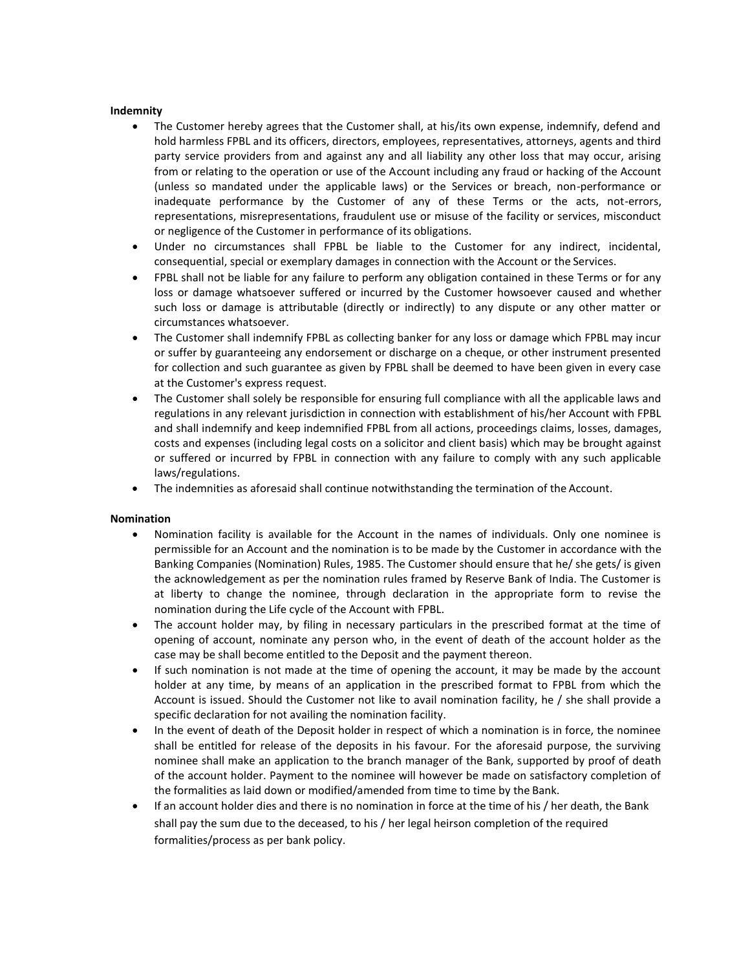### **Indemnity**

- The Customer hereby agrees that the Customer shall, at his/its own expense, indemnify, defend and hold harmless FPBL and its officers, directors, employees, representatives, attorneys, agents and third party service providers from and against any and all liability any other loss that may occur, arising from or relating to the operation or use of the Account including any fraud or hacking of the Account (unless so mandated under the applicable laws) or the Services or breach, non-performance or inadequate performance by the Customer of any of these Terms or the acts, not-errors, representations, misrepresentations, fraudulent use or misuse of the facility or services, misconduct or negligence of the Customer in performance of its obligations.
- Under no circumstances shall FPBL be liable to the Customer for any indirect, incidental, consequential, special or exemplary damages in connection with the Account or the Services.
- FPBL shall not be liable for any failure to perform any obligation contained in these Terms or for any loss or damage whatsoever suffered or incurred by the Customer howsoever caused and whether such loss or damage is attributable (directly or indirectly) to any dispute or any other matter or circumstances whatsoever.
- The Customer shall indemnify FPBL as collecting banker for any loss or damage which FPBL may incur or suffer by guaranteeing any endorsement or discharge on a cheque, or other instrument presented for collection and such guarantee as given by FPBL shall be deemed to have been given in every case at the Customer's express request.
- The Customer shall solely be responsible for ensuring full compliance with all the applicable laws and regulations in any relevant jurisdiction in connection with establishment of his/her Account with FPBL and shall indemnify and keep indemnified FPBL from all actions, proceedings claims, losses, damages, costs and expenses (including legal costs on a solicitor and client basis) which may be brought against or suffered or incurred by FPBL in connection with any failure to comply with any such applicable laws/regulations.
- The indemnities as aforesaid shall continue notwithstanding the termination of the Account.

## **Nomination**

- Nomination facility is available for the Account in the names of individuals. Only one nominee is permissible for an Account and the nomination is to be made by the Customer in accordance with the Banking Companies (Nomination) Rules, 1985. The Customer should ensure that he/ she gets/ is given the acknowledgement as per the nomination rules framed by Reserve Bank of India. The Customer is at liberty to change the nominee, through declaration in the appropriate form to revise the nomination during the Life cycle of the Account with FPBL.
- The account holder may, by filing in necessary particulars in the prescribed format at the time of opening of account, nominate any person who, in the event of death of the account holder as the case may be shall become entitled to the Deposit and the payment thereon.
- If such nomination is not made at the time of opening the account, it may be made by the account holder at any time, by means of an application in the prescribed format to FPBL from which the Account is issued. Should the Customer not like to avail nomination facility, he / she shall provide a specific declaration for not availing the nomination facility.
- In the event of death of the Deposit holder in respect of which a nomination is in force, the nominee shall be entitled for release of the deposits in his favour. For the aforesaid purpose, the surviving nominee shall make an application to the branch manager of the Bank, supported by proof of death of the account holder. Payment to the nominee will however be made on satisfactory completion of the formalities as laid down or modified/amended from time to time by the Bank.
- If an account holder dies and there is no nomination in force at the time of his / her death, the Bank shall pay the sum due to the deceased, to his / her legal heirson completion of the required formalities/process as per bank policy.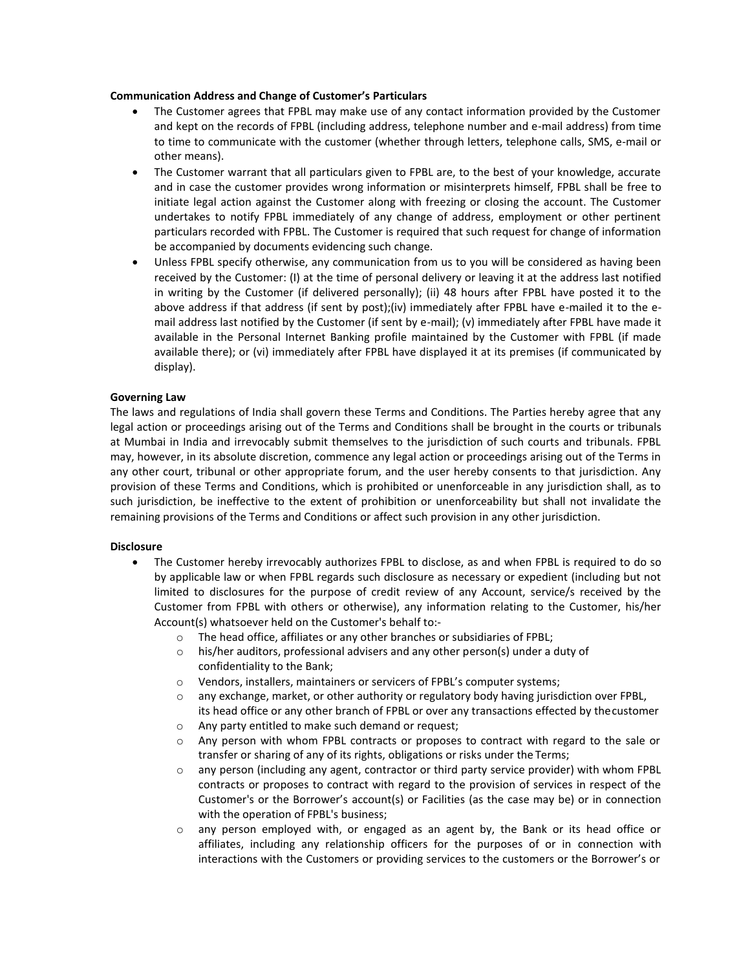### **Communication Address and Change of Customer's Particulars**

- The Customer agrees that FPBL may make use of any contact information provided by the Customer and kept on the records of FPBL (including address, telephone number and e-mail address) from time to time to communicate with the customer (whether through letters, telephone calls, SMS, e-mail or other means).
- The Customer warrant that all particulars given to FPBL are, to the best of your knowledge, accurate and in case the customer provides wrong information or misinterprets himself, FPBL shall be free to initiate legal action against the Customer along with freezing or closing the account. The Customer undertakes to notify FPBL immediately of any change of address, employment or other pertinent particulars recorded with FPBL. The Customer is required that such request for change of information be accompanied by documents evidencing such change.
- Unless FPBL specify otherwise, any communication from us to you will be considered as having been received by the Customer: (I) at the time of personal delivery or leaving it at the address last notified in writing by the Customer (if delivered personally); (ii) 48 hours after FPBL have posted it to the above address if that address (if sent by post);(iv) immediately after FPBL have e-mailed it to the email address last notified by the Customer (if sent by e-mail); (v) immediately after FPBL have made it available in the Personal Internet Banking profile maintained by the Customer with FPBL (if made available there); or (vi) immediately after FPBL have displayed it at its premises (if communicated by display).

## **Governing Law**

The laws and regulations of India shall govern these Terms and Conditions. The Parties hereby agree that any legal action or proceedings arising out of the Terms and Conditions shall be brought in the courts or tribunals at Mumbai in India and irrevocably submit themselves to the jurisdiction of such courts and tribunals. FPBL may, however, in its absolute discretion, commence any legal action or proceedings arising out of the Terms in any other court, tribunal or other appropriate forum, and the user hereby consents to that jurisdiction. Any provision of these Terms and Conditions, which is prohibited or unenforceable in any jurisdiction shall, as to such jurisdiction, be ineffective to the extent of prohibition or unenforceability but shall not invalidate the remaining provisions of the Terms and Conditions or affect such provision in any other jurisdiction.

## **Disclosure**

- The Customer hereby irrevocably authorizes FPBL to disclose, as and when FPBL is required to do so by applicable law or when FPBL regards such disclosure as necessary or expedient (including but not limited to disclosures for the purpose of credit review of any Account, service/s received by the Customer from FPBL with others or otherwise), any information relating to the Customer, his/her Account(s) whatsoever held on the Customer's behalf to:
	- o The head office, affiliates or any other branches or subsidiaries of FPBL;
	- o his/her auditors, professional advisers and any other person(s) under a duty of confidentiality to the Bank;
	- o Vendors, installers, maintainers or servicers of FPBL's computer systems;
	- o any exchange, market, or other authority or regulatory body having jurisdiction over FPBL, its head office or any other branch of FPBL or over any transactions effected by thecustomer
	- o Any party entitled to make such demand or request;
	- o Any person with whom FPBL contracts or proposes to contract with regard to the sale or transfer or sharing of any of its rights, obligations or risks under the Terms;
	- o any person (including any agent, contractor or third party service provider) with whom FPBL contracts or proposes to contract with regard to the provision of services in respect of the Customer's or the Borrower's account(s) or Facilities (as the case may be) or in connection with the operation of FPBL's business;
	- o any person employed with, or engaged as an agent by, the Bank or its head office or affiliates, including any relationship officers for the purposes of or in connection with interactions with the Customers or providing services to the customers or the Borrower's or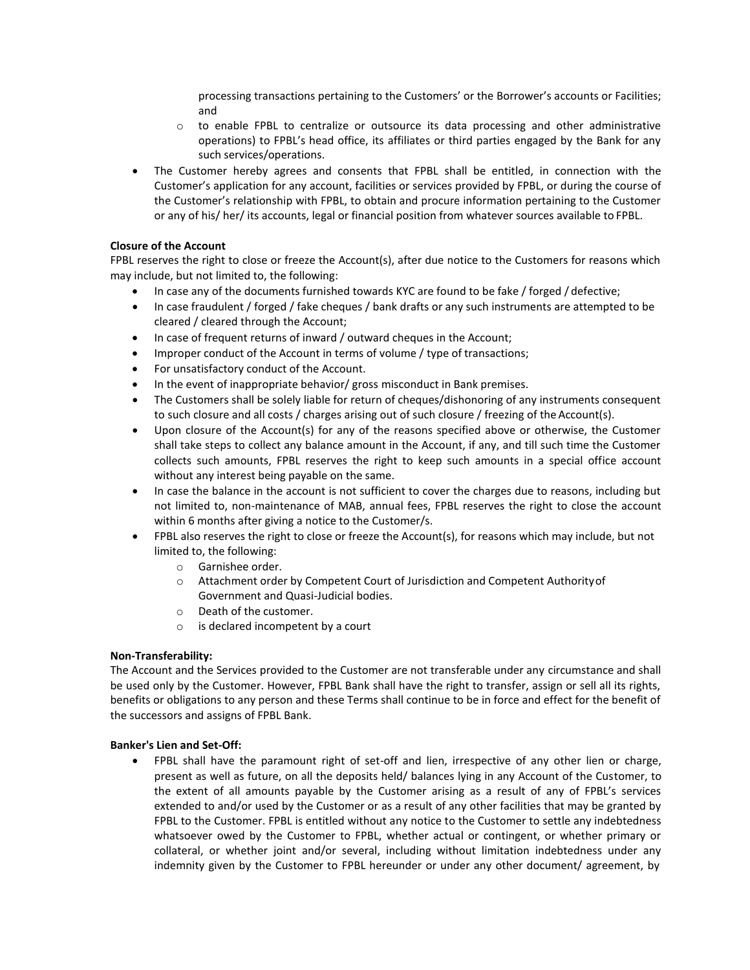processing transactions pertaining to the Customers' or the Borrower's accounts or Facilities; and

- $\circ$  to enable FPBL to centralize or outsource its data processing and other administrative operations) to FPBL's head office, its affiliates or third parties engaged by the Bank for any such services/operations.
- The Customer hereby agrees and consents that FPBL shall be entitled, in connection with the Customer's application for any account, facilities or services provided by FPBL, or during the course of the Customer's relationship with FPBL, to obtain and procure information pertaining to the Customer or any of his/ her/ its accounts, legal or financial position from whatever sources available to FPBL.

## **Closure of the Account**

FPBL reserves the right to close or freeze the Account(s), after due notice to the Customers for reasons which may include, but not limited to, the following:

- In case any of the documents furnished towards KYC are found to be fake / forged / defective;
- In case fraudulent / forged / fake cheques / bank drafts or any such instruments are attempted to be cleared / cleared through the Account;
- In case of frequent returns of inward / outward cheques in the Account;
- Improper conduct of the Account in terms of volume / type of transactions;
- For unsatisfactory conduct of the Account.
- In the event of inappropriate behavior/ gross misconduct in Bank premises.
- The Customers shall be solely liable for return of cheques/dishonoring of any instruments consequent to such closure and all costs / charges arising out of such closure / freezing of the Account(s).
- Upon closure of the Account(s) for any of the reasons specified above or otherwise, the Customer shall take steps to collect any balance amount in the Account, if any, and till such time the Customer collects such amounts, FPBL reserves the right to keep such amounts in a special office account without any interest being payable on the same.
- In case the balance in the account is not sufficient to cover the charges due to reasons, including but not limited to, non-maintenance of MAB, annual fees, FPBL reserves the right to close the account within 6 months after giving a notice to the Customer/s.
- FPBL also reserves the right to close or freeze the Account(s), for reasons which may include, but not limited to, the following:
	- o Garnishee order.
	- o Attachment order by Competent Court of Jurisdiction and Competent Authorityof Government and Quasi-Judicial bodies.
	- o Death of the customer.
	- o is declared incompetent by a court

## **Non-Transferability:**

The Account and the Services provided to the Customer are not transferable under any circumstance and shall be used only by the Customer. However, FPBL Bank shall have the right to transfer, assign or sell all its rights, benefits or obligations to any person and these Terms shall continue to be in force and effect for the benefit of the successors and assigns of FPBL Bank.

## **Banker's Lien and Set-Off:**

• FPBL shall have the paramount right of set-off and lien, irrespective of any other lien or charge, present as well as future, on all the deposits held/ balances lying in any Account of the Customer, to the extent of all amounts payable by the Customer arising as a result of any of FPBL's services extended to and/or used by the Customer or as a result of any other facilities that may be granted by FPBL to the Customer. FPBL is entitled without any notice to the Customer to settle any indebtedness whatsoever owed by the Customer to FPBL, whether actual or contingent, or whether primary or collateral, or whether joint and/or several, including without limitation indebtedness under any indemnity given by the Customer to FPBL hereunder or under any other document/ agreement, by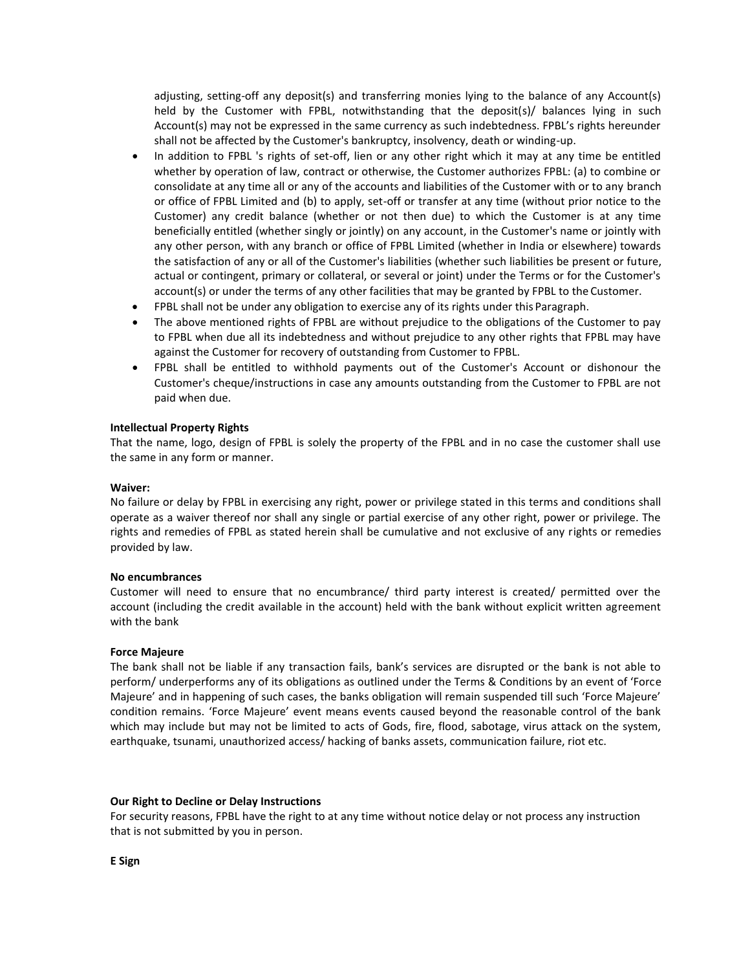adjusting, setting-off any deposit(s) and transferring monies lying to the balance of any Account(s) held by the Customer with FPBL, notwithstanding that the deposit(s)/ balances lying in such Account(s) may not be expressed in the same currency as such indebtedness. FPBL's rights hereunder shall not be affected by the Customer's bankruptcy, insolvency, death or winding-up.

- In addition to FPBL 's rights of set-off, lien or any other right which it may at any time be entitled whether by operation of law, contract or otherwise, the Customer authorizes FPBL: (a) to combine or consolidate at any time all or any of the accounts and liabilities of the Customer with or to any branch or office of FPBL Limited and (b) to apply, set-off or transfer at any time (without prior notice to the Customer) any credit balance (whether or not then due) to which the Customer is at any time beneficially entitled (whether singly or jointly) on any account, in the Customer's name or jointly with any other person, with any branch or office of FPBL Limited (whether in India or elsewhere) towards the satisfaction of any or all of the Customer's liabilities (whether such liabilities be present or future, actual or contingent, primary or collateral, or several or joint) under the Terms or for the Customer's account(s) or under the terms of any other facilities that may be granted by FPBL to the Customer.
- FPBL shall not be under any obligation to exercise any of its rights under this Paragraph.
- The above mentioned rights of FPBL are without prejudice to the obligations of the Customer to pay to FPBL when due all its indebtedness and without prejudice to any other rights that FPBL may have against the Customer for recovery of outstanding from Customer to FPBL.
- FPBL shall be entitled to withhold payments out of the Customer's Account or dishonour the Customer's cheque/instructions in case any amounts outstanding from the Customer to FPBL are not paid when due.

### **Intellectual Property Rights**

That the name, logo, design of FPBL is solely the property of the FPBL and in no case the customer shall use the same in any form or manner.

#### **Waiver:**

No failure or delay by FPBL in exercising any right, power or privilege stated in this terms and conditions shall operate as a waiver thereof nor shall any single or partial exercise of any other right, power or privilege. The rights and remedies of FPBL as stated herein shall be cumulative and not exclusive of any rights or remedies provided by law.

#### **No encumbrances**

Customer will need to ensure that no encumbrance/ third party interest is created/ permitted over the account (including the credit available in the account) held with the bank without explicit written agreement with the bank

#### **Force Majeure**

The bank shall not be liable if any transaction fails, bank's services are disrupted or the bank is not able to perform/ underperforms any of its obligations as outlined under the Terms & Conditions by an event of 'Force Majeure' and in happening of such cases, the banks obligation will remain suspended till such 'Force Majeure' condition remains. 'Force Majeure' event means events caused beyond the reasonable control of the bank which may include but may not be limited to acts of Gods, fire, flood, sabotage, virus attack on the system, earthquake, tsunami, unauthorized access/ hacking of banks assets, communication failure, riot etc.

### **Our Right to Decline or Delay Instructions**

For security reasons, FPBL have the right to at any time without notice delay or not process any instruction that is not submitted by you in person.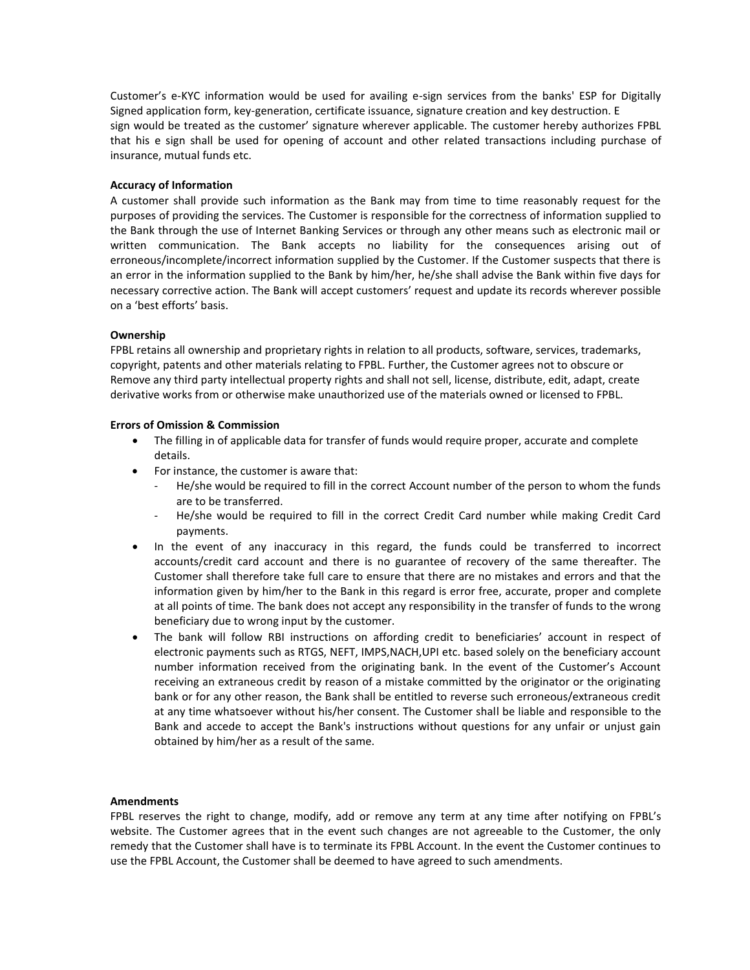Customer's e-KYC information would be used for availing e-sign services from the banks' ESP for Digitally Signed application form, key-generation, certificate issuance, signature creation and key destruction. E sign would be treated as the customer' signature wherever applicable. The customer hereby authorizes FPBL that his e sign shall be used for opening of account and other related transactions including purchase of insurance, mutual funds etc.

### **Accuracy of Information**

A customer shall provide such information as the Bank may from time to time reasonably request for the purposes of providing the services. The Customer is responsible for the correctness of information supplied to the Bank through the use of Internet Banking Services or through any other means such as electronic mail or written communication. The Bank accepts no liability for the consequences arising out of erroneous/incomplete/incorrect information supplied by the Customer. If the Customer suspects that there is an error in the information supplied to the Bank by him/her, he/she shall advise the Bank within five days for necessary corrective action. The Bank will accept customers' request and update its records wherever possible on a 'best efforts' basis.

### **Ownership**

FPBL retains all ownership and proprietary rights in relation to all products, software, services, trademarks, copyright, patents and other materials relating to FPBL. Further, the Customer agrees not to obscure or Remove any third party intellectual property rights and shall not sell, license, distribute, edit, adapt, create derivative works from or otherwise make unauthorized use of the materials owned or licensed to FPBL.

## **Errors of Omission & Commission**

- The filling in of applicable data for transfer of funds would require proper, accurate and complete details.
- For instance, the customer is aware that:
	- He/she would be required to fill in the correct Account number of the person to whom the funds are to be transferred.
	- He/she would be required to fill in the correct Credit Card number while making Credit Card payments.
- In the event of any inaccuracy in this regard, the funds could be transferred to incorrect accounts/credit card account and there is no guarantee of recovery of the same thereafter. The Customer shall therefore take full care to ensure that there are no mistakes and errors and that the information given by him/her to the Bank in this regard is error free, accurate, proper and complete at all points of time. The bank does not accept any responsibility in the transfer of funds to the wrong beneficiary due to wrong input by the customer.
- The bank will follow RBI instructions on affording credit to beneficiaries' account in respect of electronic payments such as RTGS, NEFT, IMPS,NACH,UPI etc. based solely on the beneficiary account number information received from the originating bank. In the event of the Customer's Account receiving an extraneous credit by reason of a mistake committed by the originator or the originating bank or for any other reason, the Bank shall be entitled to reverse such erroneous/extraneous credit at any time whatsoever without his/her consent. The Customer shall be liable and responsible to the Bank and accede to accept the Bank's instructions without questions for any unfair or unjust gain obtained by him/her as a result of the same.

### **Amendments**

FPBL reserves the right to change, modify, add or remove any term at any time after notifying on FPBL's website. The Customer agrees that in the event such changes are not agreeable to the Customer, the only remedy that the Customer shall have is to terminate its FPBL Account. In the event the Customer continues to use the FPBL Account, the Customer shall be deemed to have agreed to such amendments.